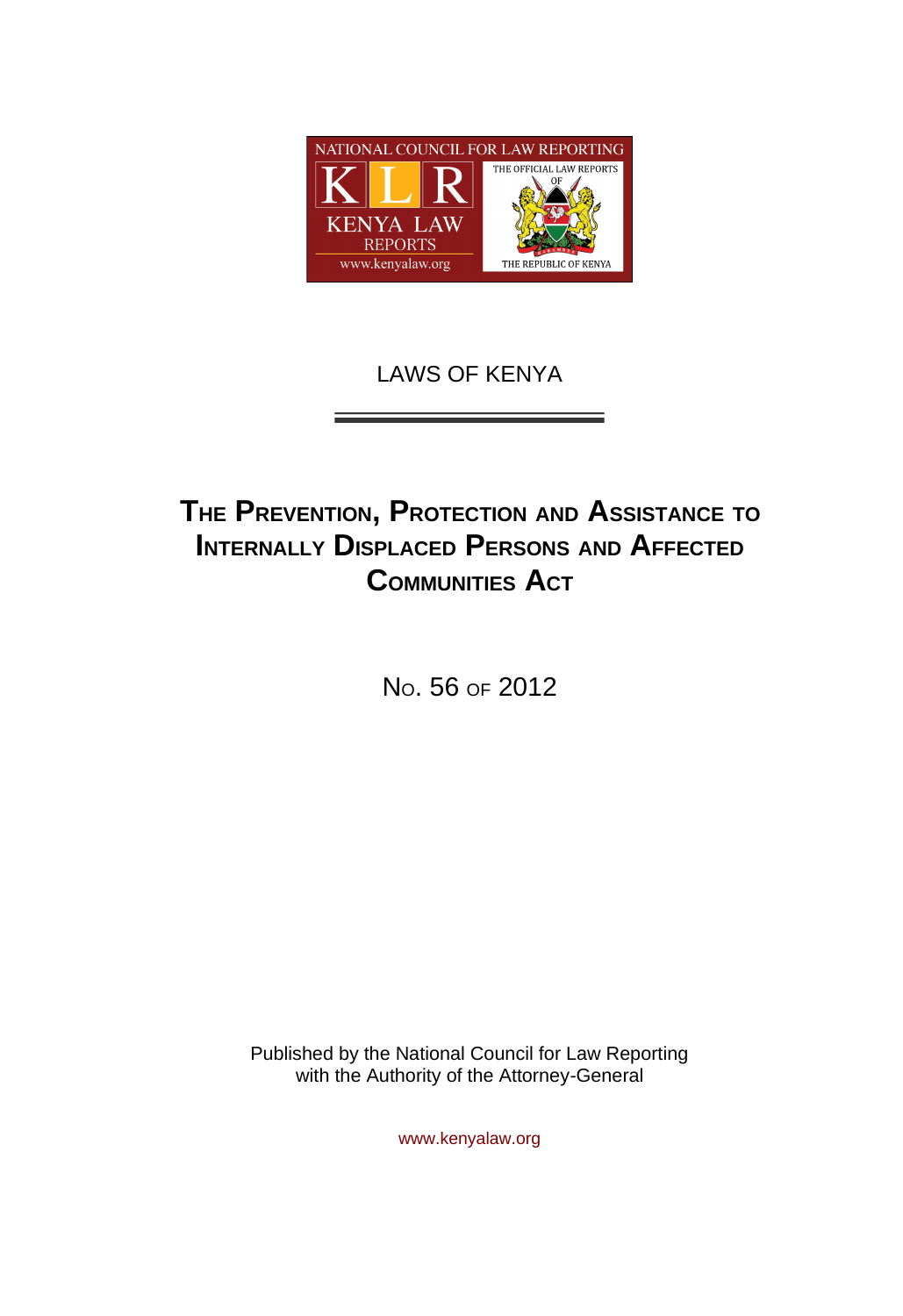

# LAWS OF KENYA

# **THE PREVENTION, PROTECTION AND ASSISTANCE TO INTERNALLY DISPLACED PERSONS AND AFFECTED COMMUNITIES ACT**

NO. 56 OF 2012

Published by the National Council for Law Reporting with the Authority of the Attorney*-*General

www.kenyalaw.org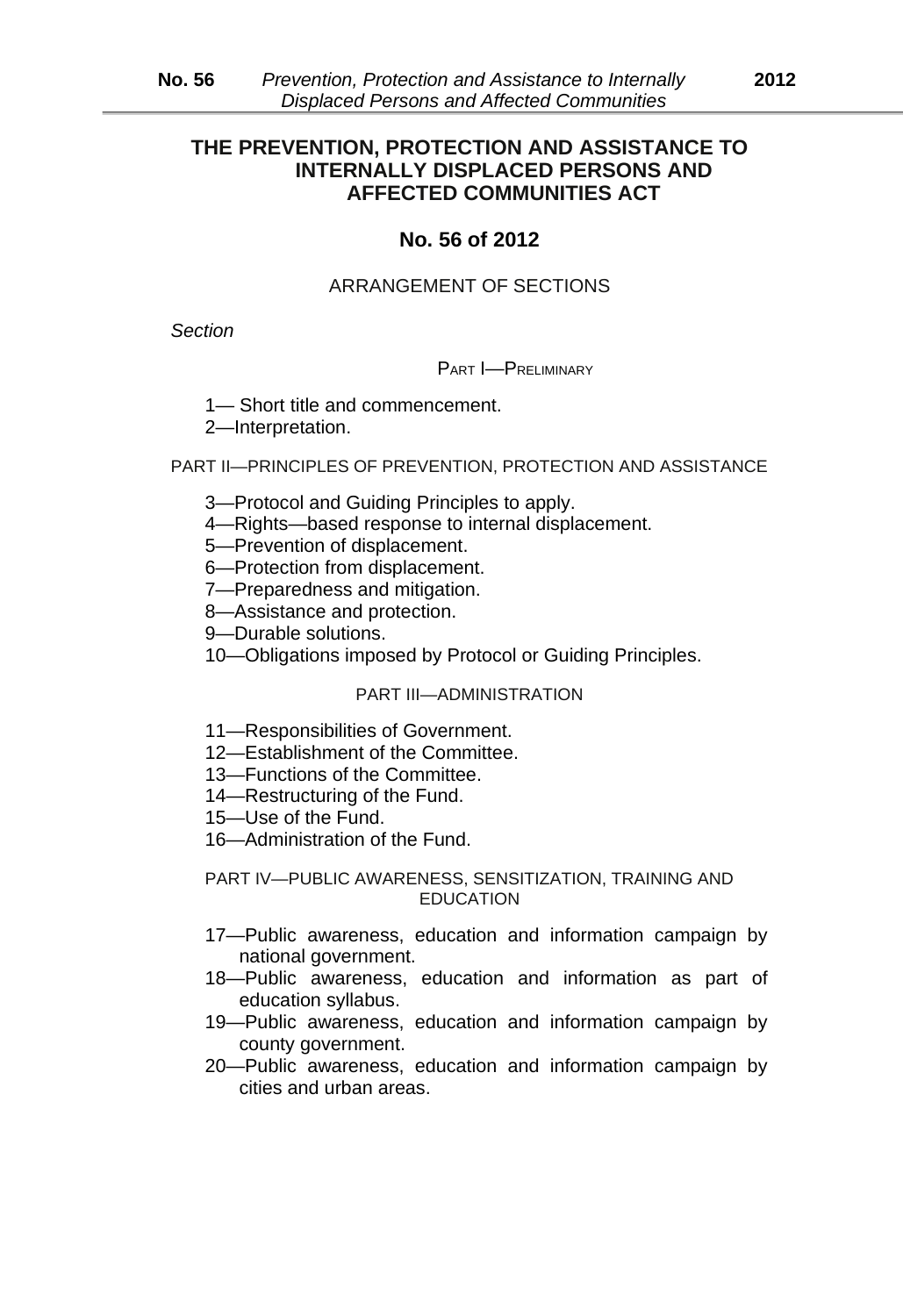# **THE PREVENTION, PROTECTION AND ASSISTANCE TO INTERNALLY DISPLACED PERSONS AND AFFECTED COMMUNITIES ACT**

# **No. 56 of 2012**

# ARRANGEMENT OF SECTIONS

*Section*

#### PART I—PRELIMINARY

1— Short title and commencement.

2—Interpretation.

PART II—PRINCIPLES OF PREVENTION, PROTECTION AND ASSISTANCE

- 3—Protocol and Guiding Principles to apply.
- 4—Rights*—*based response to internal displacement.
- 5—Prevention of displacement.
- 6—Protection from displacement.
- 7—Preparedness and mitigation.
- 8—Assistance and protection.
- 9—Durable solutions.
- 10—Obligations imposed by Protocol or Guiding Principles.

#### PART III—ADMINISTRATION

- 11—Responsibilities of Government.
- 12—Establishment of the Committee.
- 13—Functions of the Committee.
- 14—Restructuring of the Fund.
- 15—Use of the Fund.
- 16—Administration of the Fund.

PART IV—PUBLIC AWARENESS, SENSITIZATION, TRAINING AND EDUCATION

- 17—Public awareness, education and information campaign by national government.
- 18—Public awareness, education and information as part of education syllabus.
- 19—Public awareness, education and information campaign by county government.
- 20—Public awareness, education and information campaign by cities and urban areas.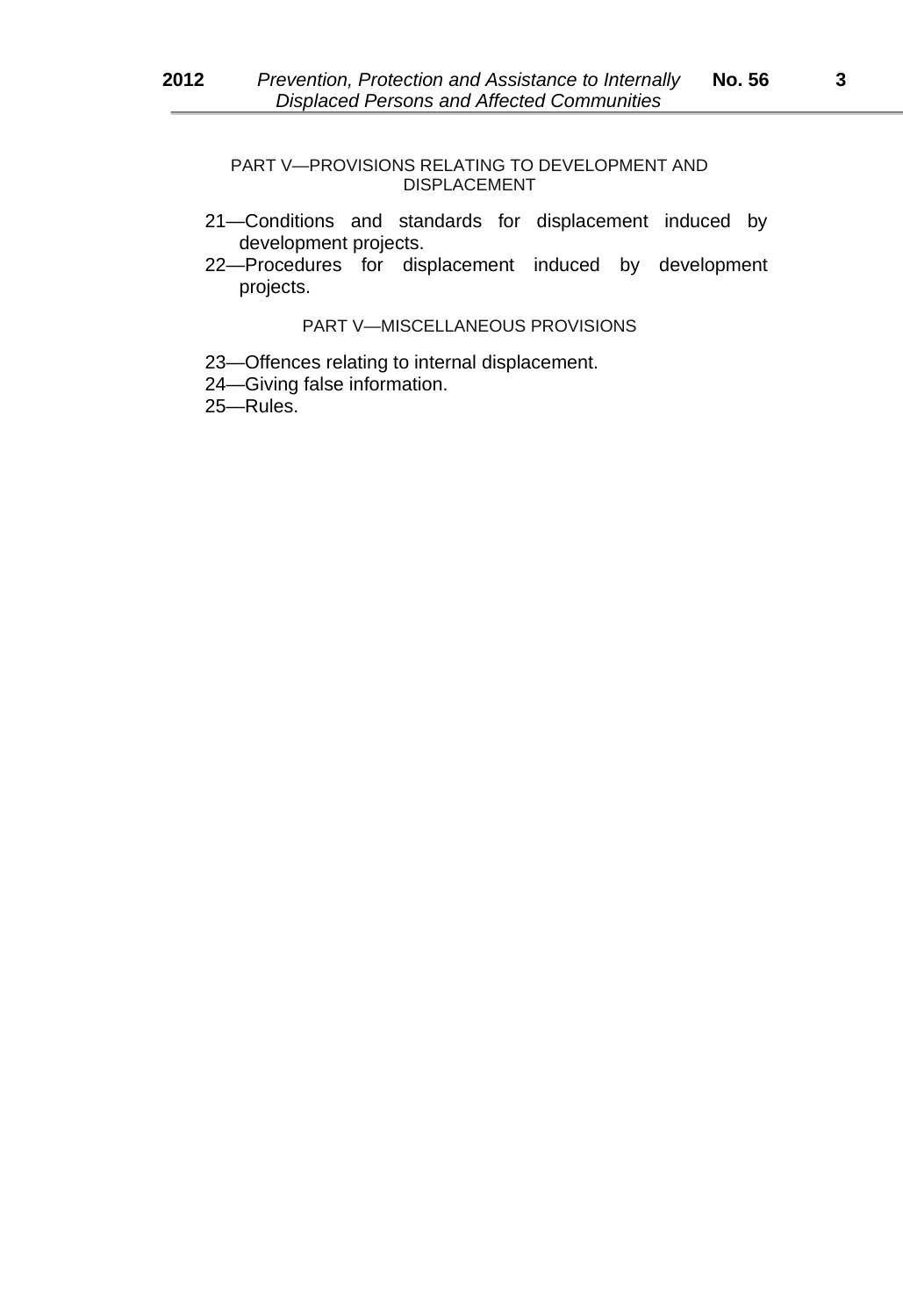PART V—PROVISIONS RELATING TO DEVELOPMENT AND DISPLACEMENT

- 21—Conditions and standards for displacement induced by development projects.
- 22—Procedures for displacement induced by development projects.

#### PART V—MISCELLANEOUS PROVISIONS

- 23—Offences relating to internal displacement.
- 24—Giving false information.

25—Rules.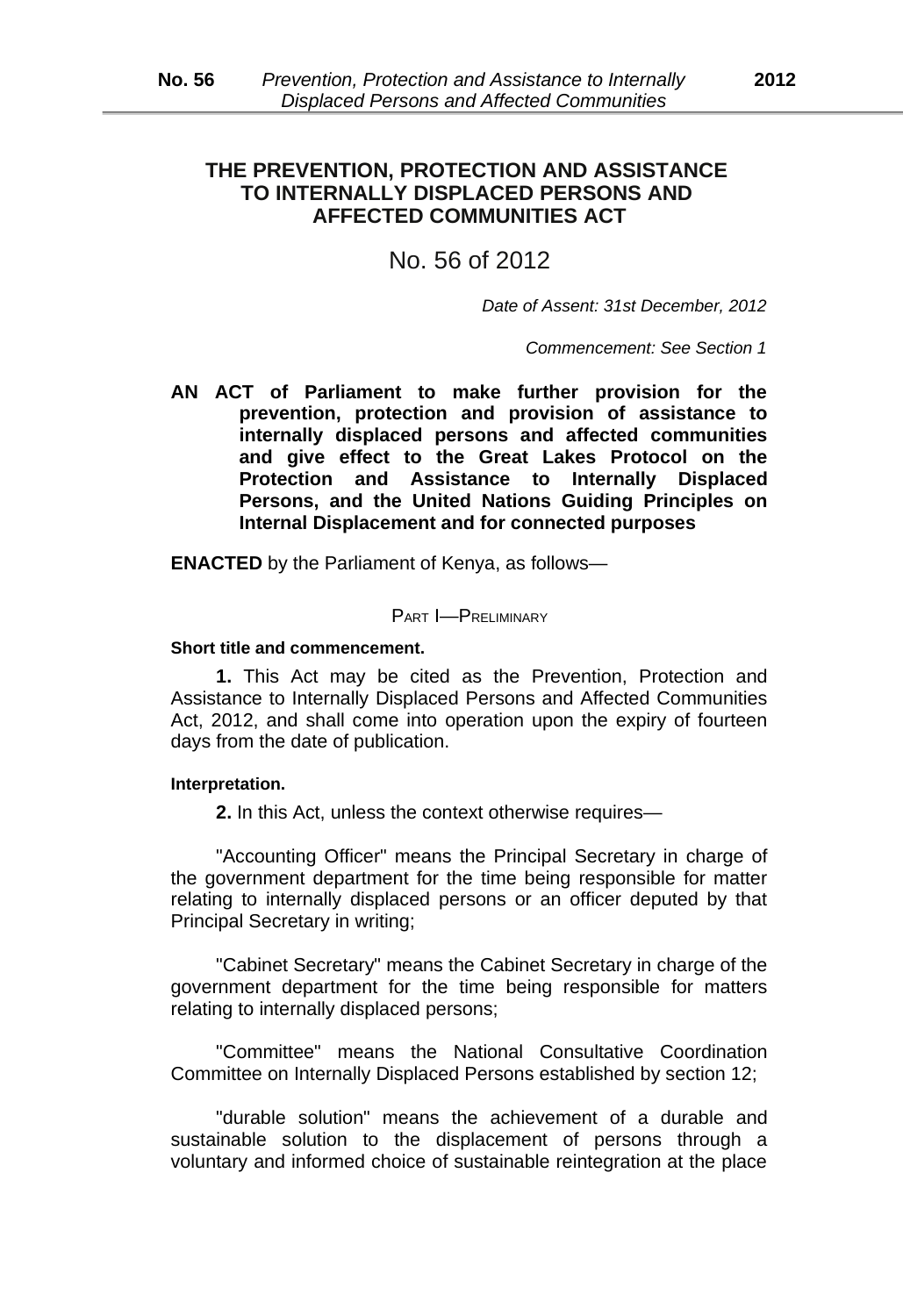# **THE PREVENTION, PROTECTION AND ASSISTANCE TO INTERNALLY DISPLACED PERSONS AND AFFECTED COMMUNITIES ACT**

# No. 56 of 2012

*Date of Assent: 31st December, 2012*

*Commencement: See Section 1*

**AN ACT of Parliament to make further provision for the prevention, protection and provision of assistance to internally displaced persons and affected communities and give effect to the Great Lakes Protocol on the Protection and Assistance to Internally Displaced Persons, and the United Nations Guiding Principles on Internal Displacement and for connected purposes**

**ENACTED** by the Parliament of Kenya, as follows—

#### PART I—PRELIMINARY

#### **Short title and commencement.**

**1.** This Act may be cited as the Prevention, Protection and Assistance to Internally Displaced Persons and Affected Communities Act, 2012, and shall come into operation upon the expiry of fourteen days from the date of publication.

#### **Interpretation.**

**2.** In this Act, unless the context otherwise requires—

"Accounting Officer" means the Principal Secretary in charge of the government department for the time being responsible for matter relating to internally displaced persons or an officer deputed by that Principal Secretary in writing;

"Cabinet Secretary" means the Cabinet Secretary in charge of the government department for the time being responsible for matters relating to internally displaced persons;

"Committee" means the National Consultative Coordination Committee on Internally Displaced Persons established by section 12;

"durable solution" means the achievement of a durable and sustainable solution to the displacement of persons through a voluntary and informed choice of sustainable reintegration at the place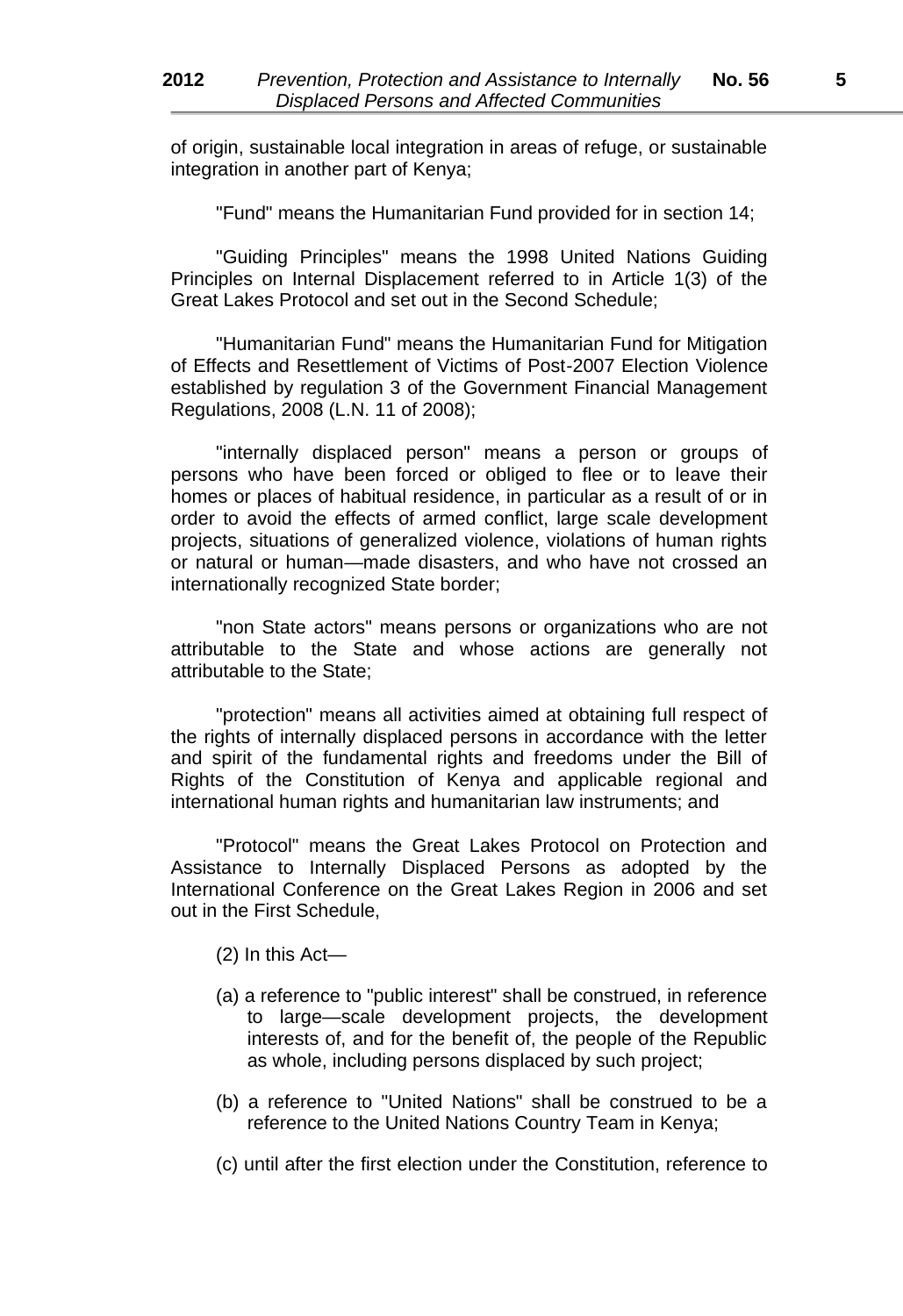of origin, sustainable local integration in areas of refuge, or sustainable integration in another part of Kenya;

"Fund" means the Humanitarian Fund provided for in section 14;

"Guiding Principles" means the 1998 United Nations Guiding Principles on Internal Displacement referred to in Article 1(3) of the Great Lakes Protocol and set out in the Second Schedule;

"Humanitarian Fund" means the Humanitarian Fund for Mitigation of Effects and Resettlement of Victims of Post*-*2007 Election Violence established by regulation 3 of the Government Financial Management Regulations, 2008 (L.N. 11 of 2008);

"internally displaced person" means a person or groups of persons who have been forced or obliged to flee or to leave their homes or places of habitual residence, in particular as a result of or in order to avoid the effects of armed conflict, large scale development projects, situations of generalized violence, violations of human rights or natural or human*—*made disasters, and who have not crossed an internationally recognized State border;

"non State actors" means persons or organizations who are not attributable to the State and whose actions are generally not attributable to the State;

"protection" means all activities aimed at obtaining full respect of the rights of internally displaced persons in accordance with the letter and spirit of the fundamental rights and freedoms under the Bill of Rights of the Constitution of Kenya and applicable regional and international human rights and humanitarian law instruments; and

"Protocol" means the Great Lakes Protocol on Protection and Assistance to Internally Displaced Persons as adopted by the International Conference on the Great Lakes Region in 2006 and set out in the First Schedule,

- (2) In this Act—
- (a) a reference to "public interest" shall be construed, in reference to large*—*scale development projects, the development interests of, and for the benefit of, the people of the Republic as whole, including persons displaced by such project;
- (b) a reference to "United Nations" shall be construed to be a reference to the United Nations Country Team in Kenya;
- (c) until after the first election under the Constitution, reference to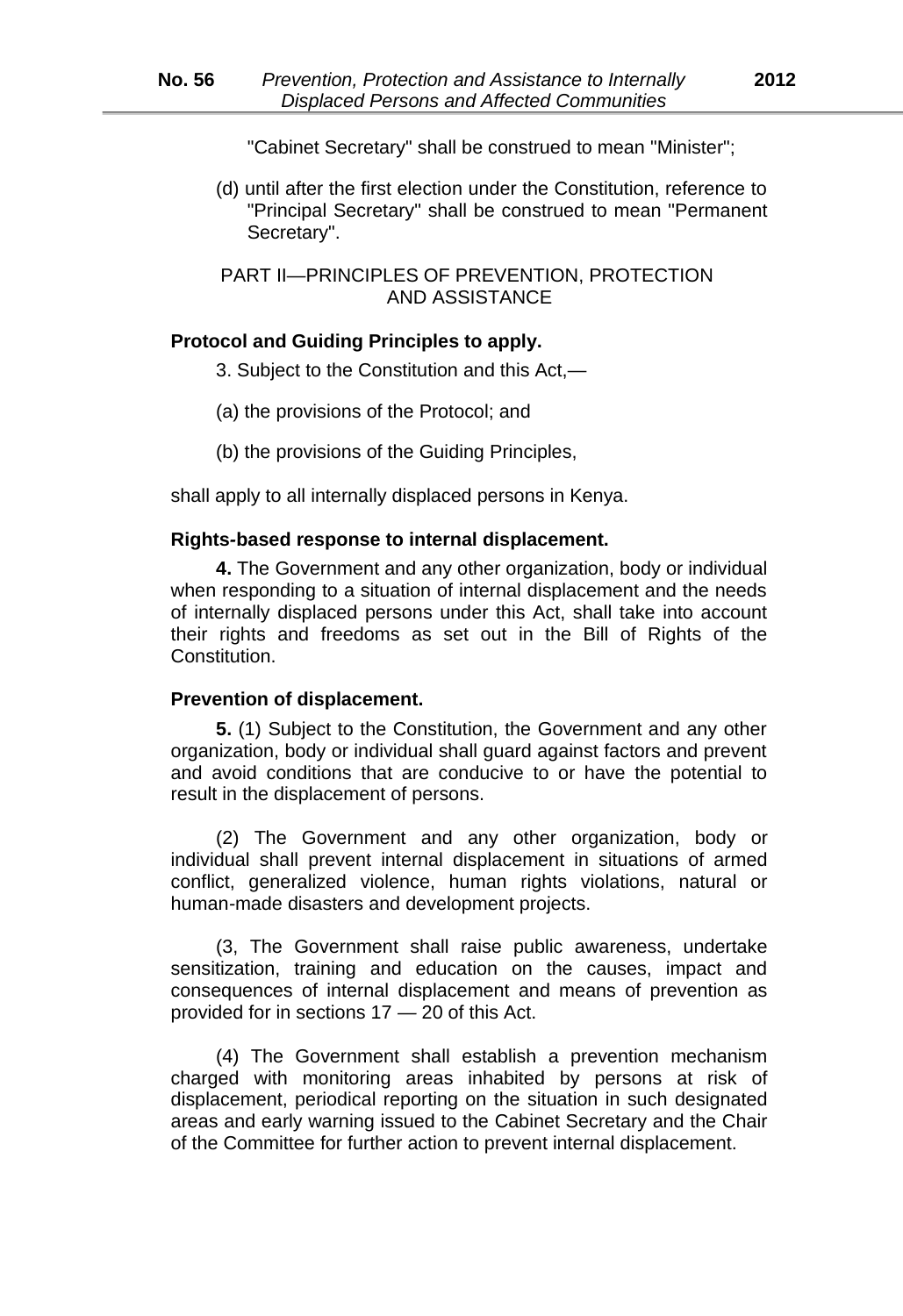"Cabinet Secretary" shall be construed to mean "Minister";

(d) until after the first election under the Constitution, reference to "Principal Secretary" shall be construed to mean "Permanent Secretary".

PART II—PRINCIPLES OF PREVENTION, PROTECTION AND ASSISTANCE

# **Protocol and Guiding Principles to apply.**

- 3. Subject to the Constitution and this Act,—
- (a) the provisions of the Protocol; and
- (b) the provisions of the Guiding Principles,

shall apply to all internally displaced persons in Kenya.

#### **Rights***-***based response to internal displacement.**

**4.** The Government and any other organization, body or individual when responding to a situation of internal displacement and the needs of internally displaced persons under this Act, shall take into account their rights and freedoms as set out in the Bill of Rights of the Constitution.

#### **Prevention of displacement.**

**5.** (1) Subject to the Constitution, the Government and any other organization, body or individual shall guard against factors and prevent and avoid conditions that are conducive to or have the potential to result in the displacement of persons.

(2) The Government and any other organization, body or individual shall prevent internal displacement in situations of armed conflict, generalized violence, human rights violations, natural or human*-*made disasters and development projects.

(3, The Government shall raise public awareness, undertake sensitization, training and education on the causes, impact and consequences of internal displacement and means of prevention as provided for in sections 17 *—* 20 of this Act.

(4) The Government shall establish a prevention mechanism charged with monitoring areas inhabited by persons at risk of displacement, periodical reporting on the situation in such designated areas and early warning issued to the Cabinet Secretary and the Chair of the Committee for further action to prevent internal displacement.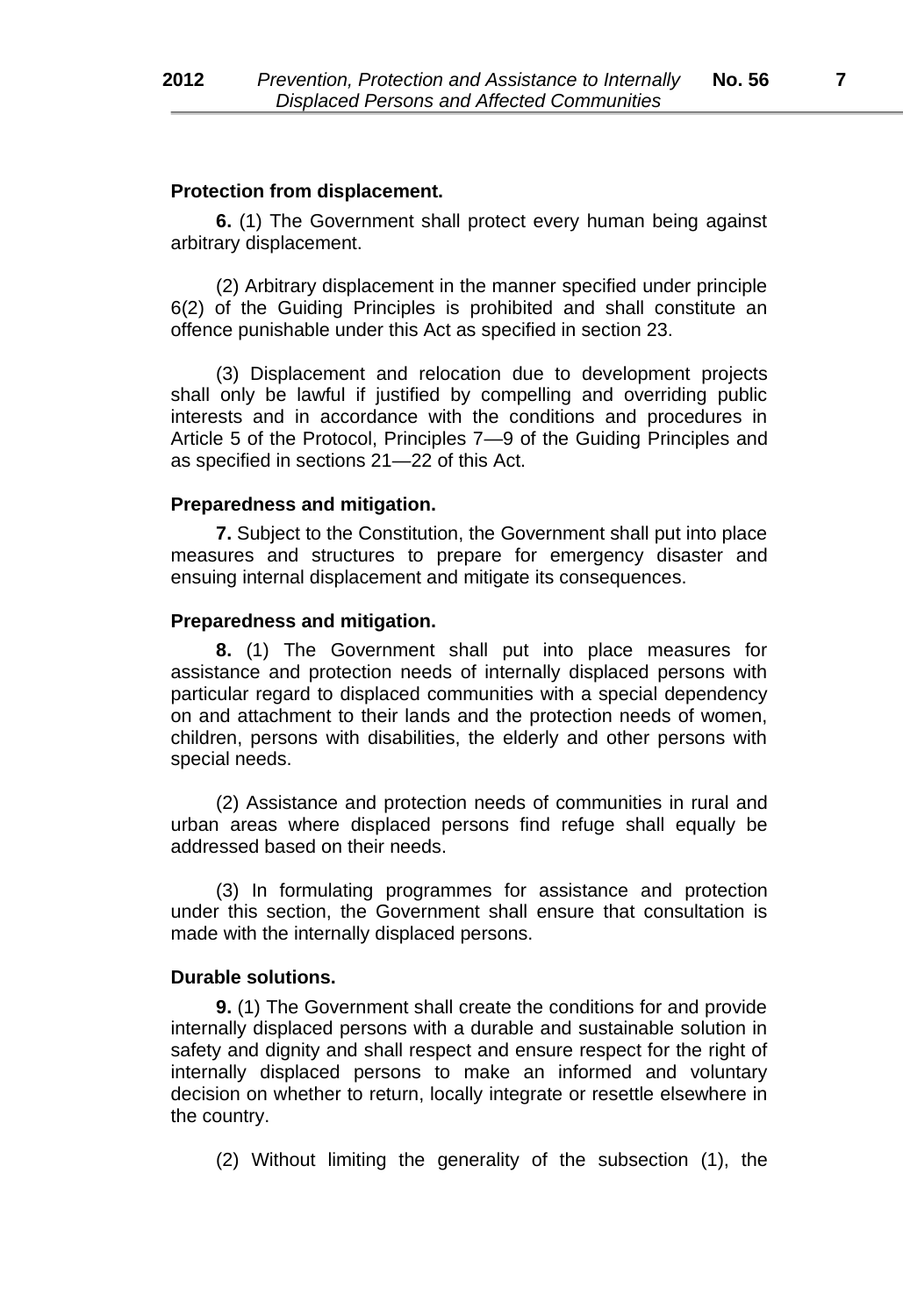#### **Protection from displacement.**

**6.** (1) The Government shall protect every human being against arbitrary displacement.

(2) Arbitrary displacement in the manner specified under principle 6(2) of the Guiding Principles is prohibited and shall constitute an offence punishable under this Act as specified in section 23.

(3) Displacement and relocation due to development projects shall only be lawful if justified by compelling and overriding public interests and in accordance with the conditions and procedures in Article 5 of the Protocol, Principles 7*—*9 of the Guiding Principles and as specified in sections 21*—*22 of this Act.

#### **Preparedness and mitigation.**

**7.** Subject to the Constitution, the Government shall put into place measures and structures to prepare for emergency disaster and ensuing internal displacement and mitigate its consequences.

#### **Preparedness and mitigation.**

**8.** (1) The Government shall put into place measures for assistance and protection needs of internally displaced persons with particular regard to displaced communities with a special dependency on and attachment to their lands and the protection needs of women, children, persons with disabilities, the elderly and other persons with special needs.

(2) Assistance and protection needs of communities in rural and urban areas where displaced persons find refuge shall equally be addressed based on their needs.

(3) In formulating programmes for assistance and protection under this section, the Government shall ensure that consultation is made with the internally displaced persons.

#### **Durable solutions.**

**9.** (1) The Government shall create the conditions for and provide internally displaced persons with a durable and sustainable solution in safety and dignity and shall respect and ensure respect for the right of internally displaced persons to make an informed and voluntary decision on whether to return, locally integrate or resettle elsewhere in the country.

(2) Without limiting the generality of the subsection (1), the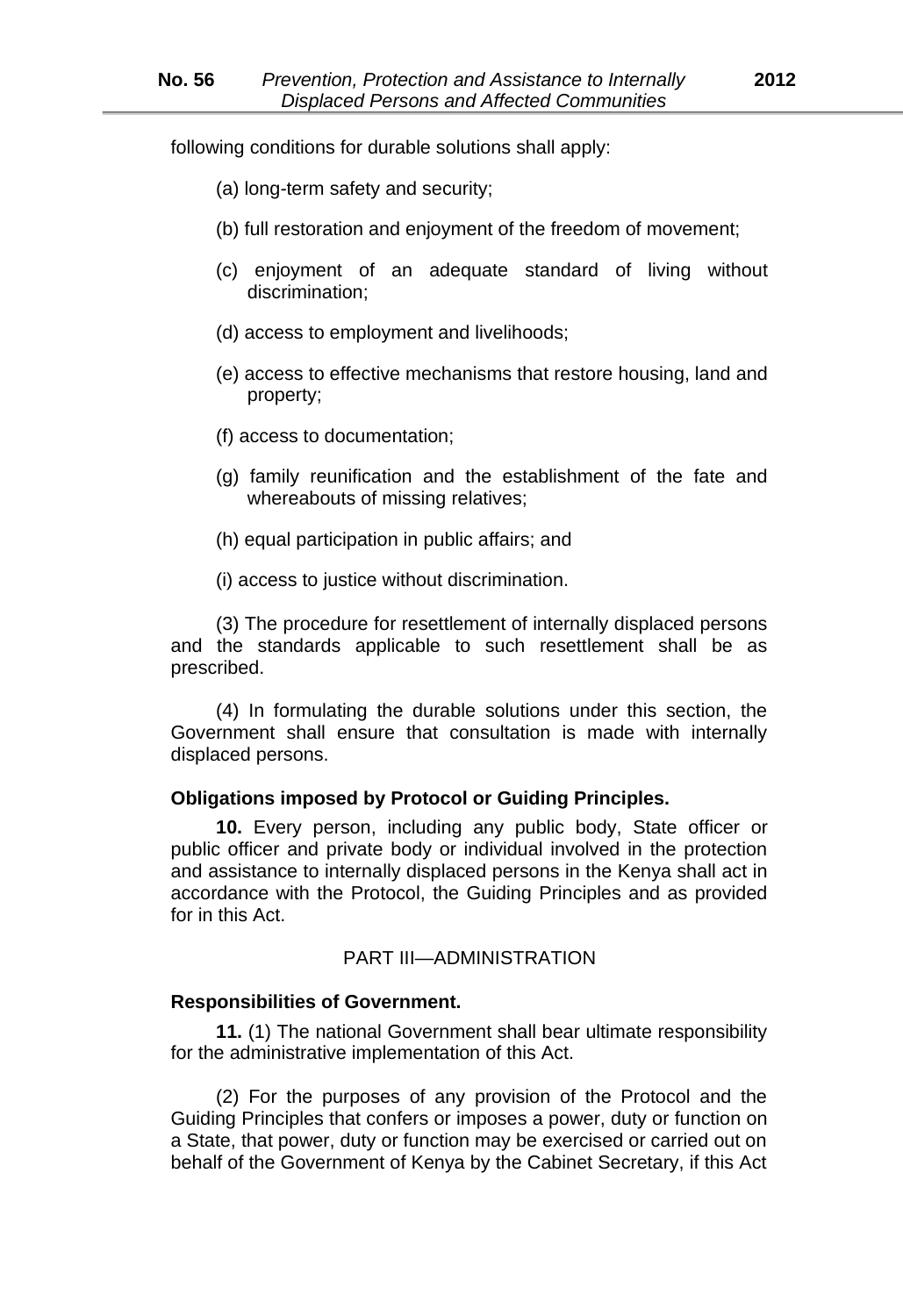following conditions for durable solutions shall apply:

- (a) long*-*term safety and security;
- (b) full restoration and enjoyment of the freedom of movement;
- (c) enjoyment of an adequate standard of living without discrimination;
- (d) access to employment and livelihoods;
- (e) access to effective mechanisms that restore housing, land and property;
- (f) access to documentation;
- (g) family reunification and the establishment of the fate and whereabouts of missing relatives;
- (h) equal participation in public affairs; and
- (i) access to justice without discrimination.

(3) The procedure for resettlement of internally displaced persons and the standards applicable to such resettlement shall be as prescribed.

(4) In formulating the durable solutions under this section, the Government shall ensure that consultation is made with internally displaced persons.

#### **Obligations imposed by Protocol or Guiding Principles.**

**10.** Every person, including any public body, State officer or public officer and private body or individual involved in the protection and assistance to internally displaced persons in the Kenya shall act in accordance with the Protocol, the Guiding Principles and as provided for in this Act.

#### PART III—ADMINISTRATION

#### **Responsibilities of Government.**

**11.** (1) The national Government shall bear ultimate responsibility for the administrative implementation of this Act.

(2) For the purposes of any provision of the Protocol and the Guiding Principles that confers or imposes a power, duty or function on a State, that power, duty or function may be exercised or carried out on behalf of the Government of Kenya by the Cabinet Secretary, if this Act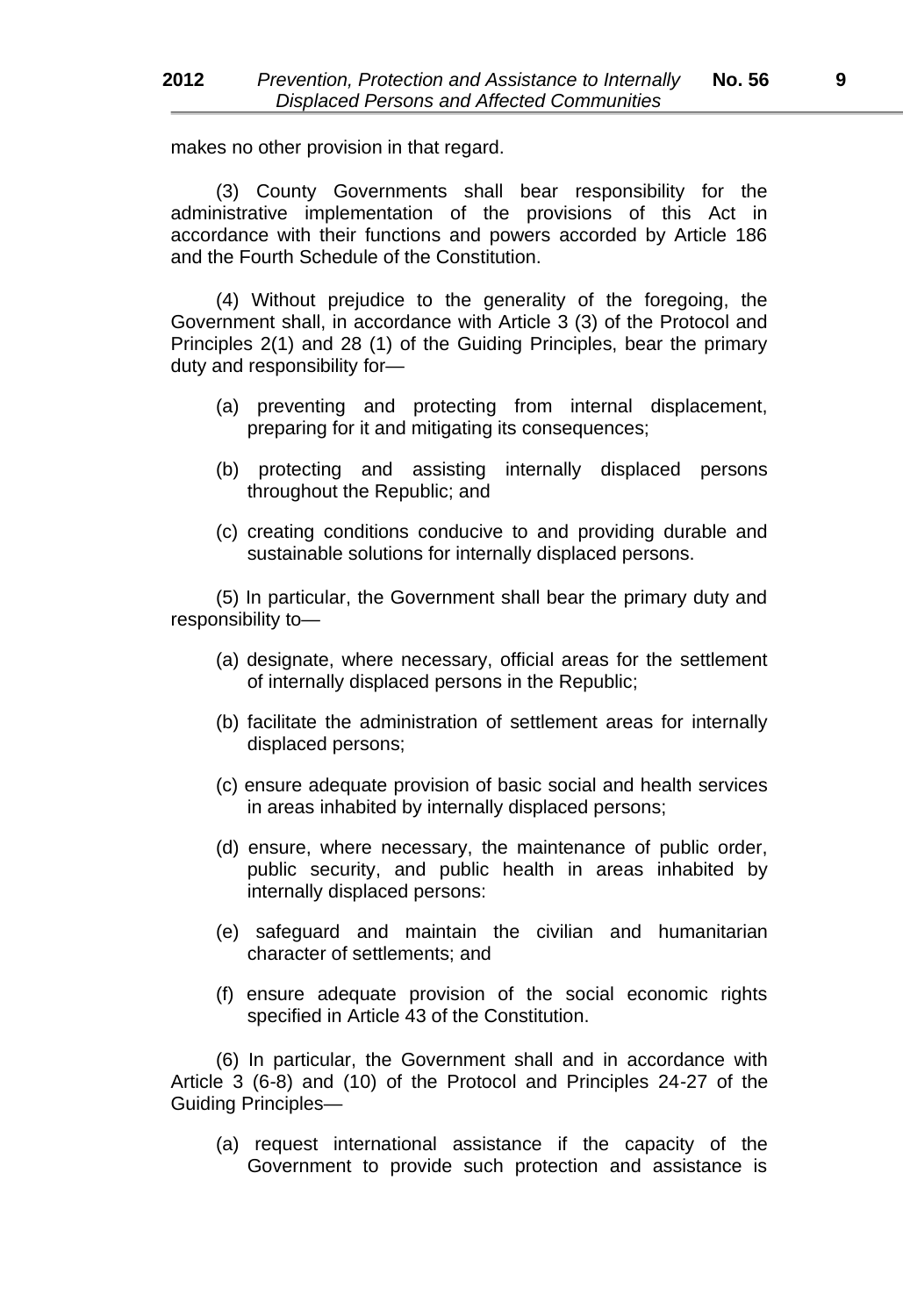makes no other provision in that regard.

(3) County Governments shall bear responsibility for the administrative implementation of the provisions of this Act in accordance with their functions and powers accorded by Article 186 and the Fourth Schedule of the Constitution.

(4) Without prejudice to the generality of the foregoing, the Government shall, in accordance with Article 3 (3) of the Protocol and Principles 2(1) and 28 (1) of the Guiding Principles, bear the primary duty and responsibility for—

- (a) preventing and protecting from internal displacement, preparing for it and mitigating its consequences;
- (b) protecting and assisting internally displaced persons throughout the Republic; and
- (c) creating conditions conducive to and providing durable and sustainable solutions for internally displaced persons.

(5) In particular, the Government shall bear the primary duty and responsibility to—

- (a) designate, where necessary, official areas for the settlement of internally displaced persons in the Republic;
- (b) facilitate the administration of settlement areas for internally displaced persons;
- (c) ensure adequate provision of basic social and health services in areas inhabited by internally displaced persons;
- (d) ensure, where necessary, the maintenance of public order, public security, and public health in areas inhabited by internally displaced persons:
- (e) safeguard and maintain the civilian and humanitarian character of settlements; and
- (f) ensure adequate provision of the social economic rights specified in Article 43 of the Constitution.

(6) In particular, the Government shall and in accordance with Article 3 (6*-*8) and (10) of the Protocol and Principles 24*-*27 of the Guiding Principles—

(a) request international assistance if the capacity of the Government to provide such protection and assistance is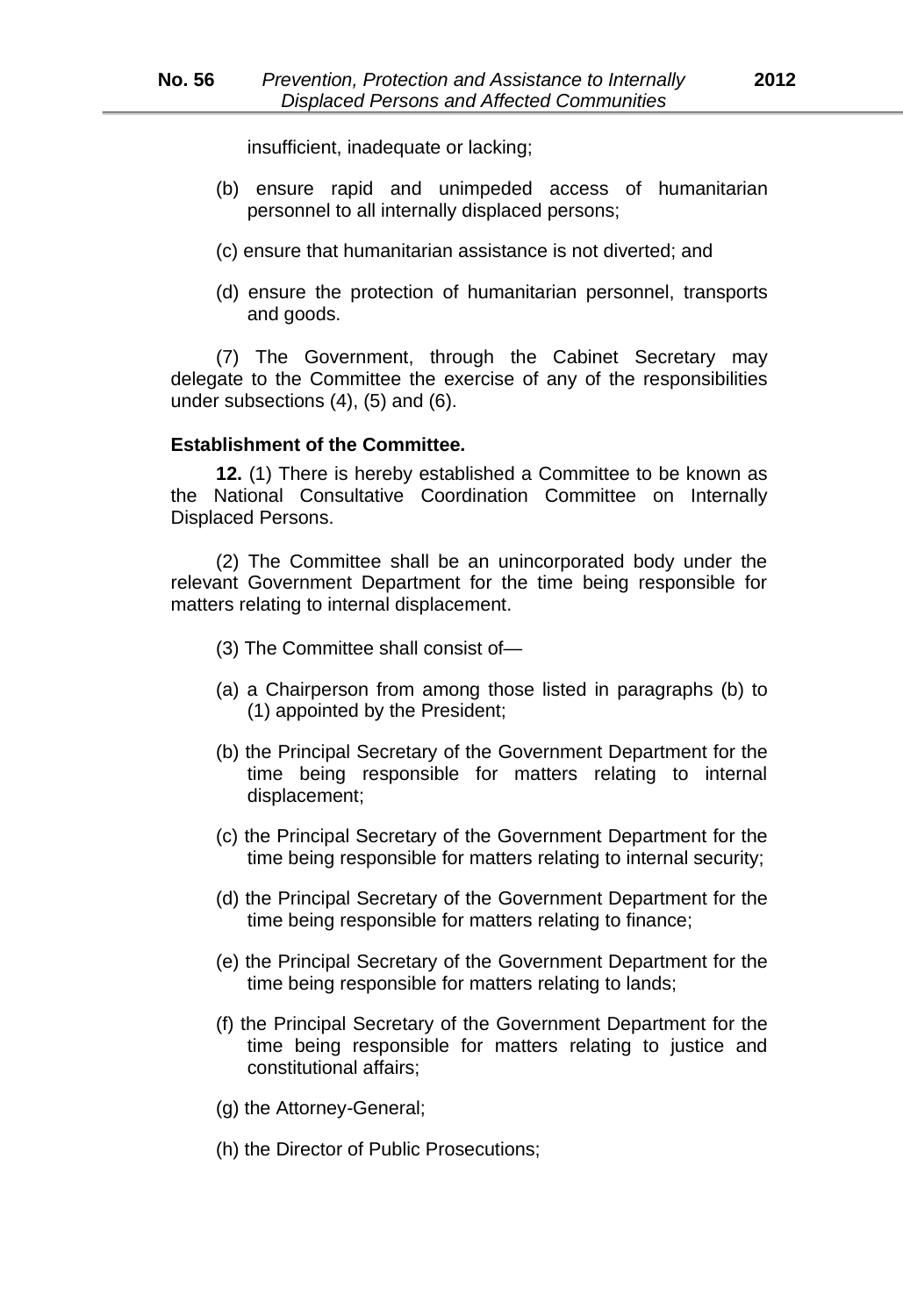insufficient, inadequate or lacking;

- (b) ensure rapid and unimpeded access of humanitarian personnel to all internally displaced persons;
- (c) ensure that humanitarian assistance is not diverted; and
- (d) ensure the protection of humanitarian personnel, transports and goods.

(7) The Government, through the Cabinet Secretary may delegate to the Committee the exercise of any of the responsibilities under subsections (4), (5) and (6).

#### **Establishment of the Committee.**

**12.** (1) There is hereby established a Committee to be known as the National Consultative Coordination Committee on Internally Displaced Persons.

(2) The Committee shall be an unincorporated body under the relevant Government Department for the time being responsible for matters relating to internal displacement.

- (3) The Committee shall consist of—
- (a) a Chairperson from among those listed in paragraphs (b) to (1) appointed by the President;
- (b) the Principal Secretary of the Government Department for the time being responsible for matters relating to internal displacement;
- (c) the Principal Secretary of the Government Department for the time being responsible for matters relating to internal security;
- (d) the Principal Secretary of the Government Department for the time being responsible for matters relating to finance;
- (e) the Principal Secretary of the Government Department for the time being responsible for matters relating to lands;
- (f) the Principal Secretary of the Government Department for the time being responsible for matters relating to justice and constitutional affairs;
- (g) the Attorney*-*General;
- (h) the Director of Public Prosecutions;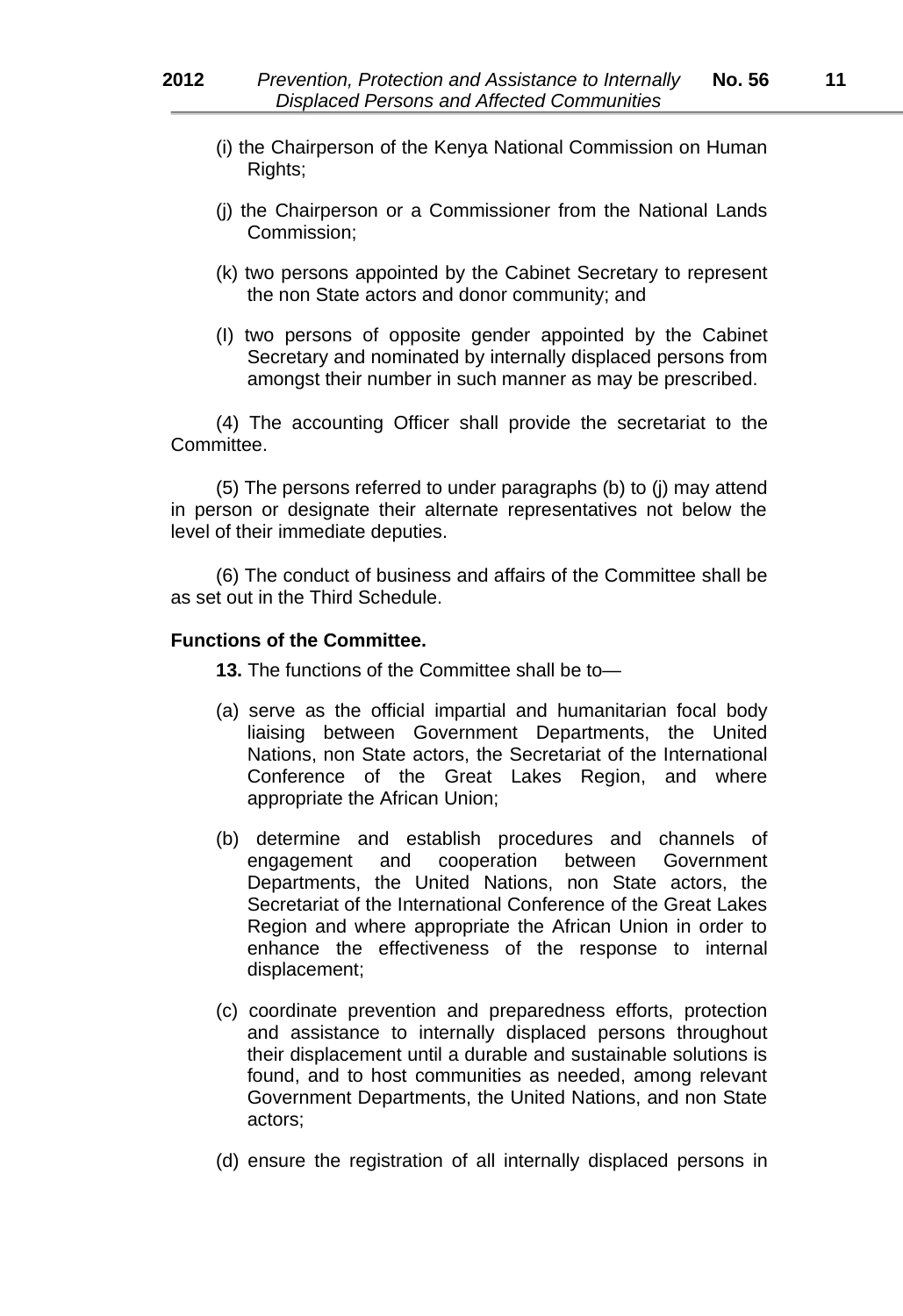- (i) the Chairperson of the Kenya National Commission on Human Rights;
- (j) the Chairperson or a Commissioner from the National Lands Commission;
- (k) two persons appointed by the Cabinet Secretary to represent the non State actors and donor community; and
- (I) two persons of opposite gender appointed by the Cabinet Secretary and nominated by internally displaced persons from amongst their number in such manner as may be prescribed.

(4) The accounting Officer shall provide the secretariat to the Committee.

(5) The persons referred to under paragraphs (b) to (j) may attend in person or designate their alternate representatives not below the level of their immediate deputies.

(6) The conduct of business and affairs of the Committee shall be as set out in the Third Schedule.

#### **Functions of the Committee.**

**13.** The functions of the Committee shall be to—

- (a) serve as the official impartial and humanitarian focal body liaising between Government Departments, the United Nations, non State actors, the Secretariat of the International Conference of the Great Lakes Region, and where appropriate the African Union;
- (b) determine and establish procedures and channels of engagement and cooperation between Government Departments, the United Nations, non State actors, the Secretariat of the International Conference of the Great Lakes Region and where appropriate the African Union in order to enhance the effectiveness of the response to internal displacement;
- (c) coordinate prevention and preparedness efforts, protection and assistance to internally displaced persons throughout their displacement until a durable and sustainable solutions is found, and to host communities as needed, among relevant Government Departments, the United Nations, and non State actors;
- (d) ensure the registration of all internally displaced persons in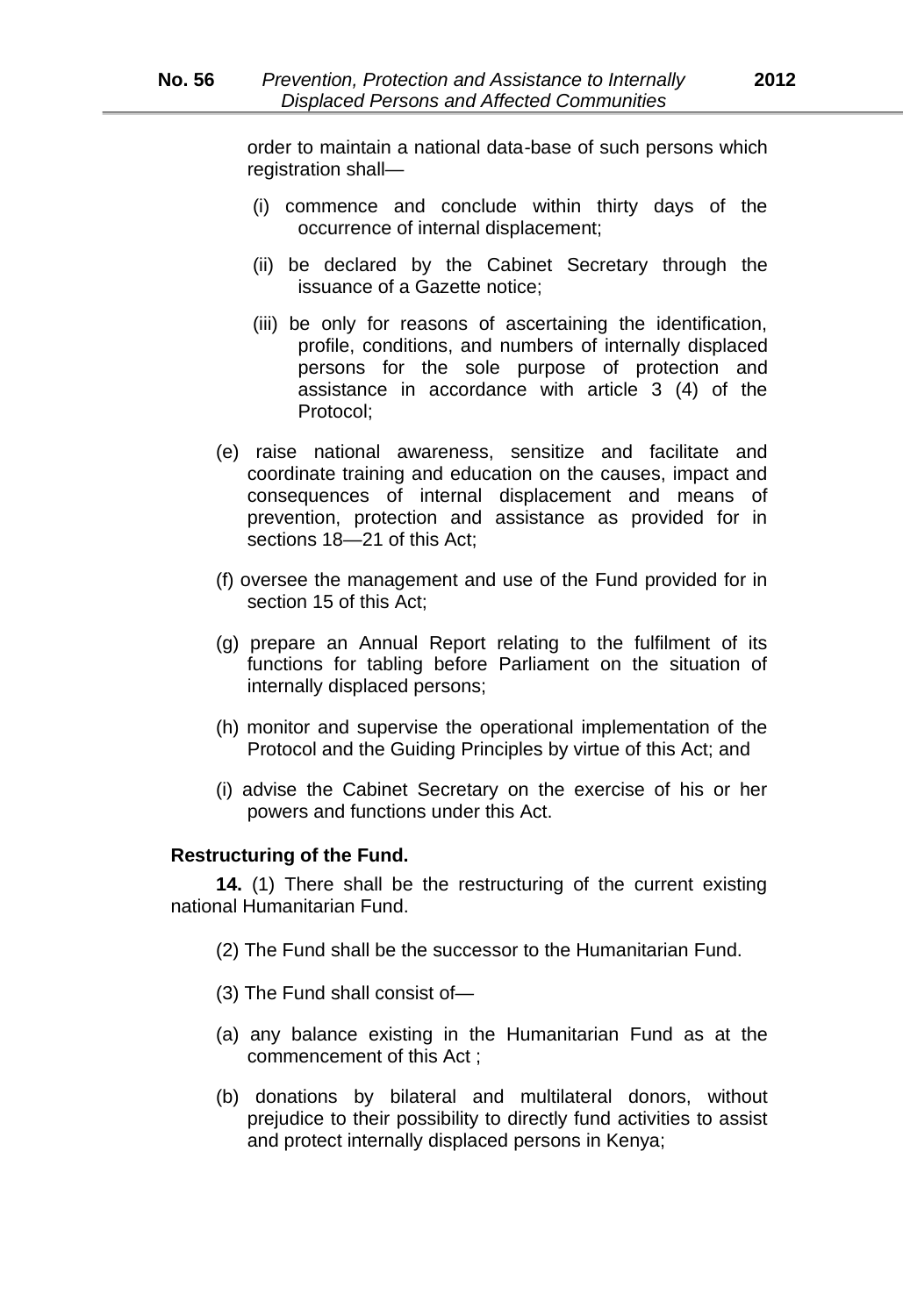order to maintain a national data*-*base of such persons which registration shall—

- (i) commence and conclude within thirty days of the occurrence of internal displacement;
- (ii) be declared by the Cabinet Secretary through the issuance of a Gazette notice;
- (iii) be only for reasons of ascertaining the identification, profile, conditions, and numbers of internally displaced persons for the sole purpose of protection and assistance in accordance with article 3 (4) of the Protocol;
- (e) raise national awareness, sensitize and facilitate and coordinate training and education on the causes, impact and consequences of internal displacement and means of prevention, protection and assistance as provided for in sections 18*—*21 of this Act;
- (f) oversee the management and use of the Fund provided for in section 15 of this Act;
- (g) prepare an Annual Report relating to the fulfilment of its functions for tabling before Parliament on the situation of internally displaced persons;
- (h) monitor and supervise the operational implementation of the Protocol and the Guiding Principles by virtue of this Act; and
- (i) advise the Cabinet Secretary on the exercise of his or her powers and functions under this Act.

#### **Restructuring of the Fund.**

**14.** (1) There shall be the restructuring of the current existing national Humanitarian Fund.

- (2) The Fund shall be the successor to the Humanitarian Fund.
- (3) The Fund shall consist of*—*
- (a) any balance existing in the Humanitarian Fund as at the commencement of this Act ;
- (b) donations by bilateral and multilateral donors, without prejudice to their possibility to directly fund activities to assist and protect internally displaced persons in Kenya;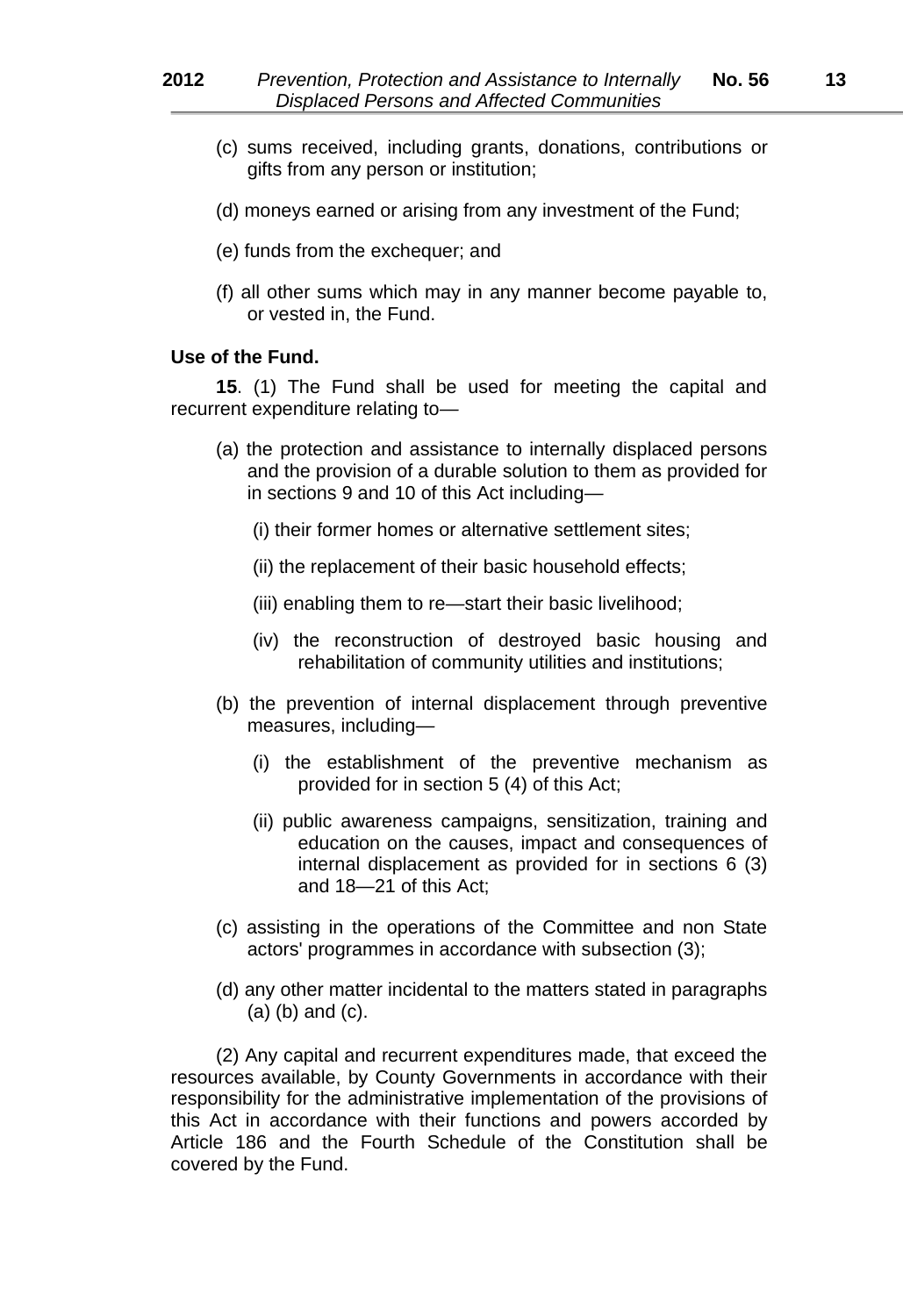- (c) sums received, including grants, donations, contributions or gifts from any person or institution;
- (d) moneys earned or arising from any investment of the Fund;
- (e) funds from the exchequer; and
- (f) all other sums which may in any manner become payable to, or vested in, the Fund.

#### **Use of the Fund.**

**15**. (1) The Fund shall be used for meeting the capital and recurrent expenditure relating to*—*

- (a) the protection and assistance to internally displaced persons and the provision of a durable solution to them as provided for in sections 9 and 10 of this Act including*—*
	- (i) their former homes or alternative settlement sites;
	- (ii) the replacement of their basic household effects;
	- (iii) enabling them to re*—*start their basic livelihood;
	- (iv) the reconstruction of destroyed basic housing and rehabilitation of community utilities and institutions;
- (b) the prevention of internal displacement through preventive measures, including*—*
	- (i) the establishment of the preventive mechanism as provided for in section 5 (4) of this Act;
	- (ii) public awareness campaigns, sensitization, training and education on the causes, impact and consequences of internal displacement as provided for in sections 6 (3) and 18*—*21 of this Act;
- (c) assisting in the operations of the Committee and non State actors' programmes in accordance with subsection (3);
- (d) any other matter incidental to the matters stated in paragraphs (a) (b) and (c).

(2) Any capital and recurrent expenditures made, that exceed the resources available, by County Governments in accordance with their responsibility for the administrative implementation of the provisions of this Act in accordance with their functions and powers accorded by Article 186 and the Fourth Schedule of the Constitution shall be covered by the Fund.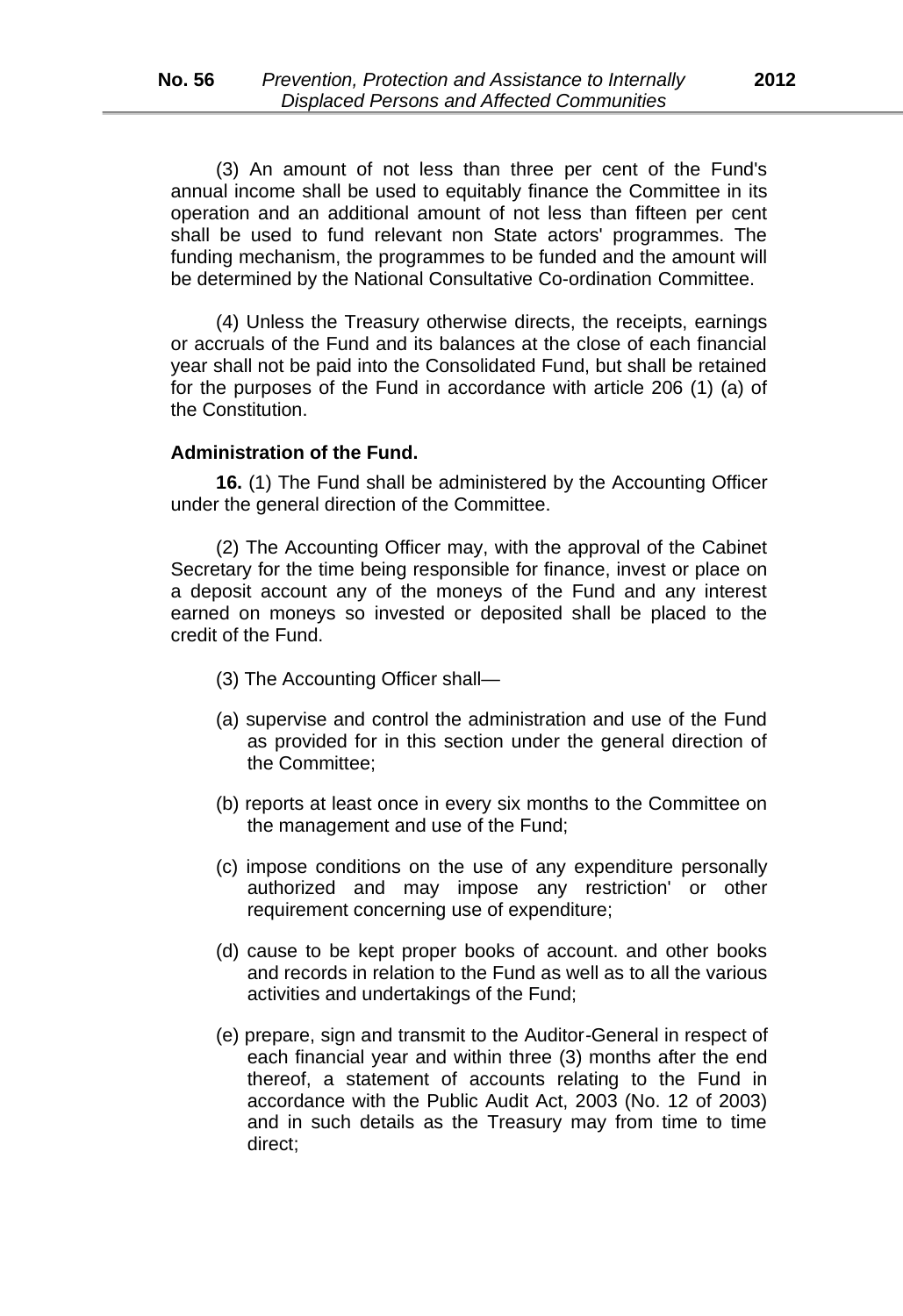(3) An amount of not less than three per cent of the Fund's annual income shall be used to equitably finance the Committee in its operation and an additional amount of not less than fifteen per cent shall be used to fund relevant non State actors' programmes. The funding mechanism, the programmes to be funded and the amount will be determined by the National Consultative Co-ordination Committee.

(4) Unless the Treasury otherwise directs, the receipts, earnings or accruals of the Fund and its balances at the close of each financial year shall not be paid into the Consolidated Fund, but shall be retained for the purposes of the Fund in accordance with article 206 (1) (a) of the Constitution.

#### **Administration of the Fund.**

**16.** (1) The Fund shall be administered by the Accounting Officer under the general direction of the Committee.

(2) The Accounting Officer may, with the approval of the Cabinet Secretary for the time being responsible for finance, invest or place on a deposit account any of the moneys of the Fund and any interest earned on moneys so invested or deposited shall be placed to the credit of the Fund.

- (3) The Accounting Officer shall—
- (a) supervise and control the administration and use of the Fund as provided for in this section under the general direction of the Committee;
- (b) reports at least once in every six months to the Committee on the management and use of the Fund;
- (c) impose conditions on the use of any expenditure personally authorized and may impose any restriction' or other requirement concerning use of expenditure;
- (d) cause to be kept proper books of account. and other books and records in relation to the Fund as well as to all the various activities and undertakings of the Fund;
- (e) prepare, sign and transmit to the Auditor*-*General in respect of each financial year and within three (3) months after the end thereof, a statement of accounts relating to the Fund in accordance with the Public Audit Act, 2003 (No. 12 of 2003) and in such details as the Treasury may from time to time direct;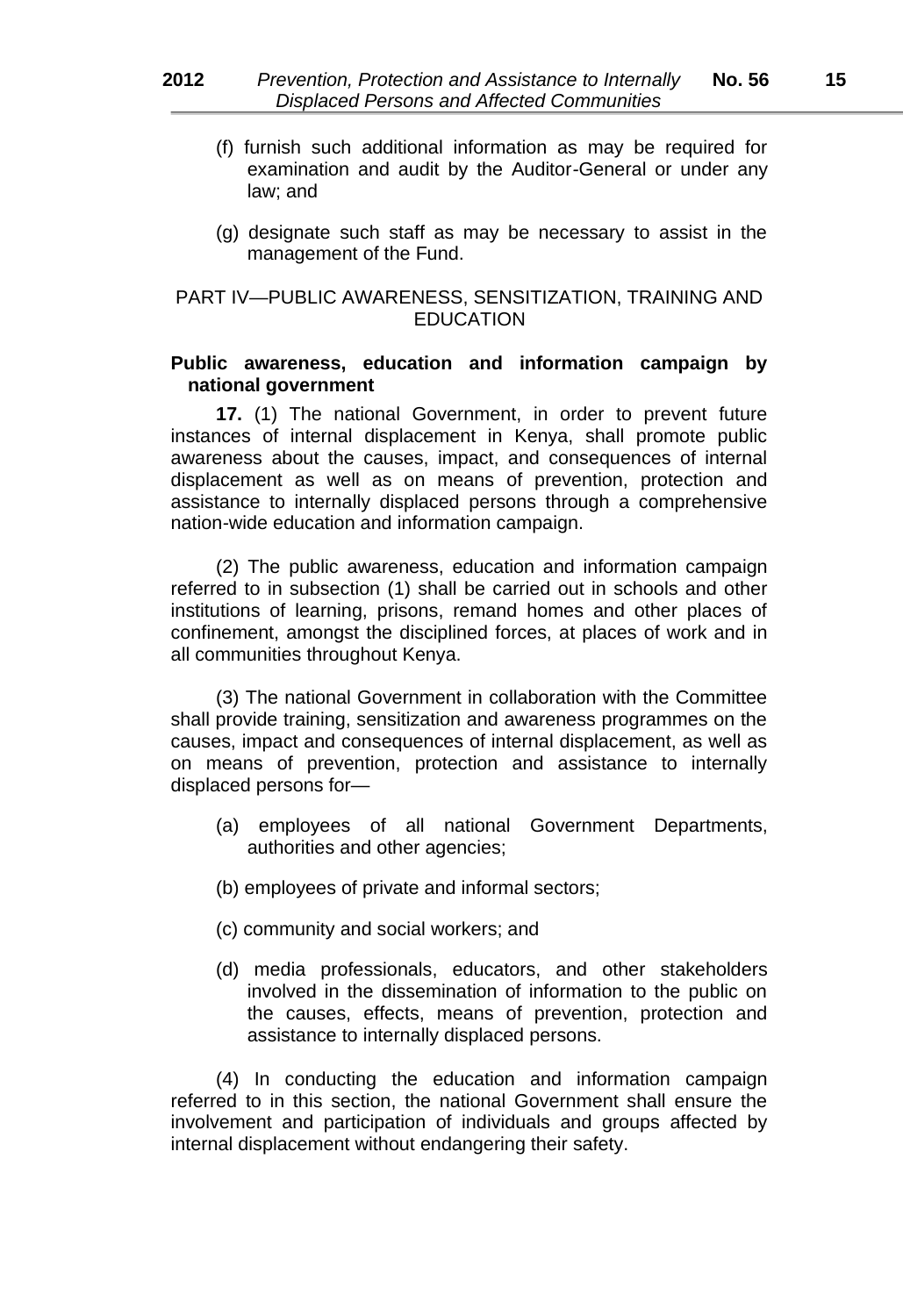- (f) furnish such additional information as may be required for examination and audit by the Auditor*-*General or under any law; and
- (g) designate such staff as may be necessary to assist in the management of the Fund.

# PART IV—PUBLIC AWARENESS, SENSITIZATION, TRAINING AND **EDUCATION**

#### **Public awareness, education and information campaign by national government**

**17.** (1) The national Government, in order to prevent future instances of internal displacement in Kenya, shall promote public awareness about the causes, impact, and consequences of internal displacement as well as on means of prevention, protection and assistance to internally displaced persons through a comprehensive nation*-*wide education and information campaign.

(2) The public awareness, education and information campaign referred to in subsection (1) shall be carried out in schools and other institutions of learning, prisons, remand homes and other places of confinement, amongst the disciplined forces, at places of work and in all communities throughout Kenya.

(3) The national Government in collaboration with the Committee shall provide training, sensitization and awareness programmes on the causes, impact and consequences of internal displacement, as well as on means of prevention, protection and assistance to internally displaced persons for—

- (a) employees of all national Government Departments, authorities and other agencies;
- (b) employees of private and informal sectors;
- (c) community and social workers; and
- (d) media professionals, educators, and other stakeholders involved in the dissemination of information to the public on the causes, effects, means of prevention, protection and assistance to internally displaced persons.

(4) In conducting the education and information campaign referred to in this section, the national Government shall ensure the involvement and participation of individuals and groups affected by internal displacement without endangering their safety.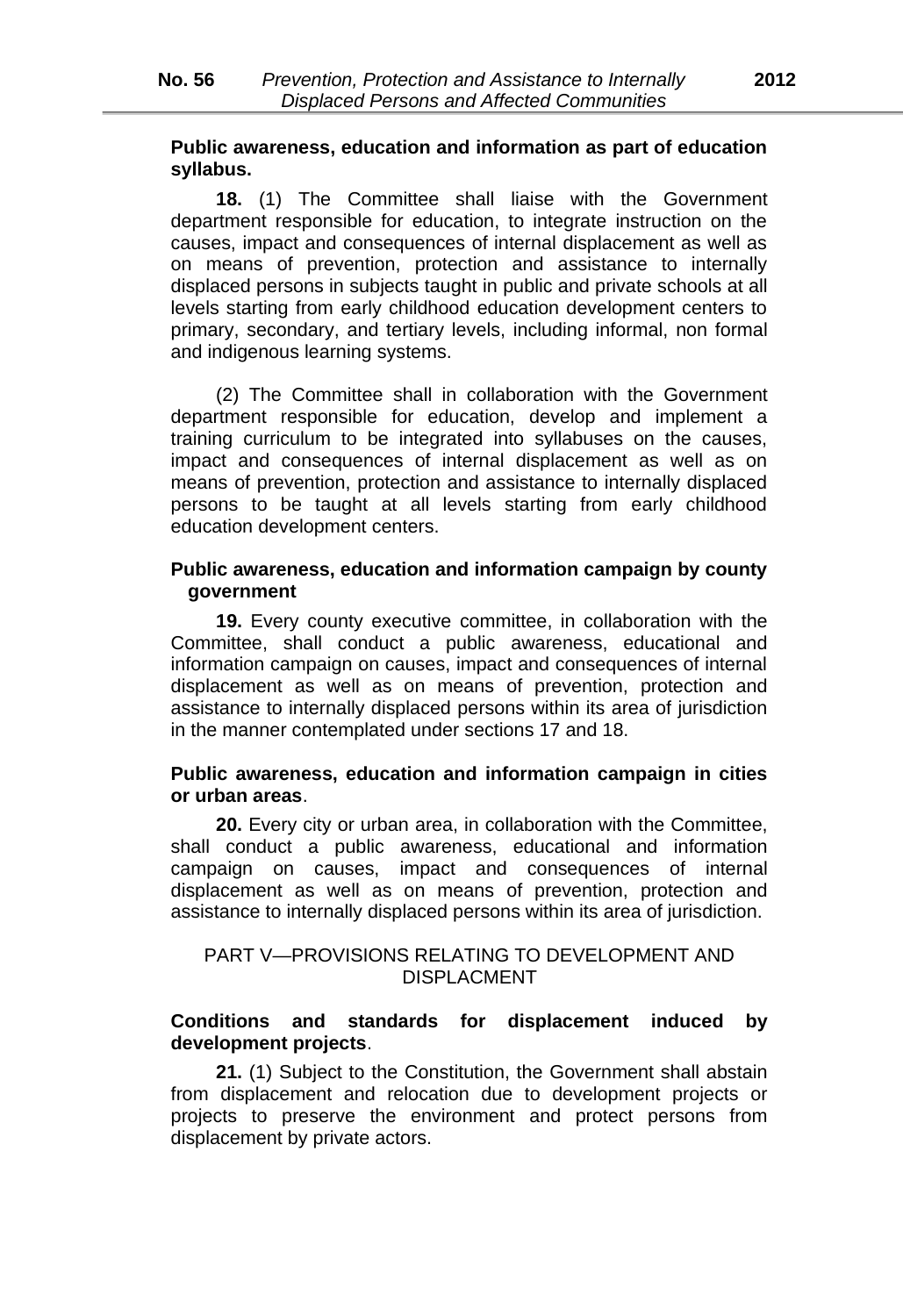# **Public awareness, education and information as part of education syllabus.**

**18.** (1) The Committee shall liaise with the Government department responsible for education, to integrate instruction on the causes, impact and consequences of internal displacement as well as on means of prevention, protection and assistance to internally displaced persons in subjects taught in public and private schools at all levels starting from early childhood education development centers to primary, secondary, and tertiary levels, including informal, non formal and indigenous learning systems.

(2) The Committee shall in collaboration with the Government department responsible for education, develop and implement a training curriculum to be integrated into syllabuses on the causes, impact and consequences of internal displacement as well as on means of prevention, protection and assistance to internally displaced persons to be taught at all levels starting from early childhood education development centers.

# **Public awareness, education and information campaign by county government**

**19.** Every county executive committee, in collaboration with the Committee, shall conduct a public awareness, educational and information campaign on causes, impact and consequences of internal displacement as well as on means of prevention, protection and assistance to internally displaced persons within its area of jurisdiction in the manner contemplated under sections 17 and 18.

#### **Public awareness, education and information campaign in cities or urban areas**.

**20.** Every city or urban area, in collaboration with the Committee, shall conduct a public awareness, educational and information campaign on causes, impact and consequences of internal displacement as well as on means of prevention, protection and assistance to internally displaced persons within its area of jurisdiction.

# PART V—PROVISIONS RELATING TO DEVELOPMENT AND DISPLACMENT

# **Conditions and standards for displacement induced by development projects**.

**21.** (1) Subject to the Constitution, the Government shall abstain from displacement and relocation due to development projects or projects to preserve the environment and protect persons from displacement by private actors.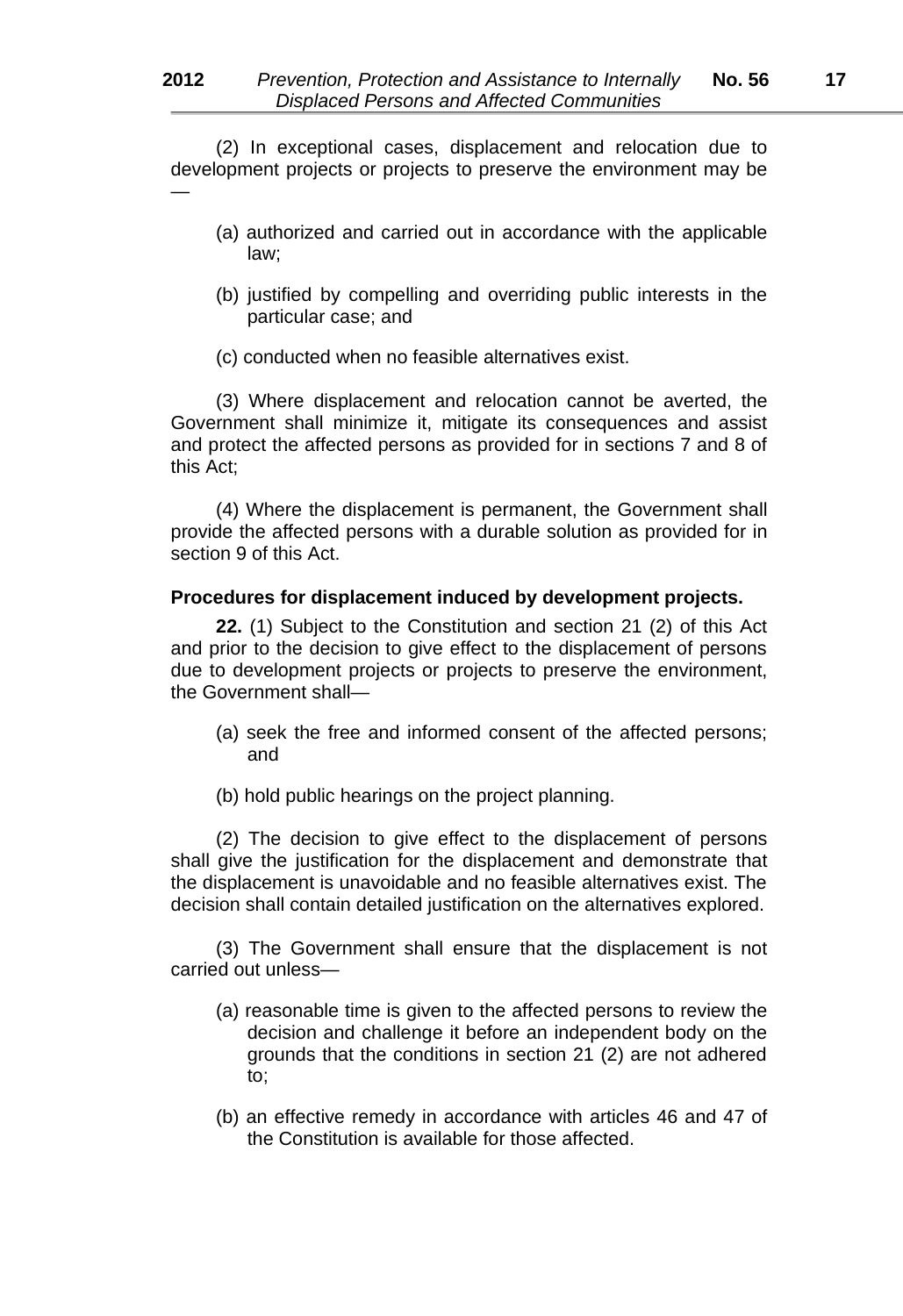(2) In exceptional cases, displacement and relocation due to development projects or projects to preserve the environment may be —

- (a) authorized and carried out in accordance with the applicable law;
- (b) justified by compelling and overriding public interests in the particular case; and
- (c) conducted when no feasible alternatives exist.

(3) Where displacement and relocation cannot be averted, the Government shall minimize it, mitigate its consequences and assist and protect the affected persons as provided for in sections 7 and 8 of this Act;

(4) Where the displacement is permanent, the Government shall provide the affected persons with a durable solution as provided for in section 9 of this Act.

#### **Procedures for displacement induced by development projects.**

**22.** (1) Subject to the Constitution and section 21 (2) of this Act and prior to the decision to give effect to the displacement of persons due to development projects or projects to preserve the environment, the Government shall—

- (a) seek the free and informed consent of the affected persons; and
- (b) hold public hearings on the project planning.

(2) The decision to give effect to the displacement of persons shall give the justification for the displacement and demonstrate that the displacement is unavoidable and no feasible alternatives exist. The decision shall contain detailed justification on the alternatives explored.

(3) The Government shall ensure that the displacement is not carried out unless—

- (a) reasonable time is given to the affected persons to review the decision and challenge it before an independent body on the grounds that the conditions in section 21 (2) are not adhered to;
- (b) an effective remedy in accordance with articles 46 and 47 of the Constitution is available for those affected.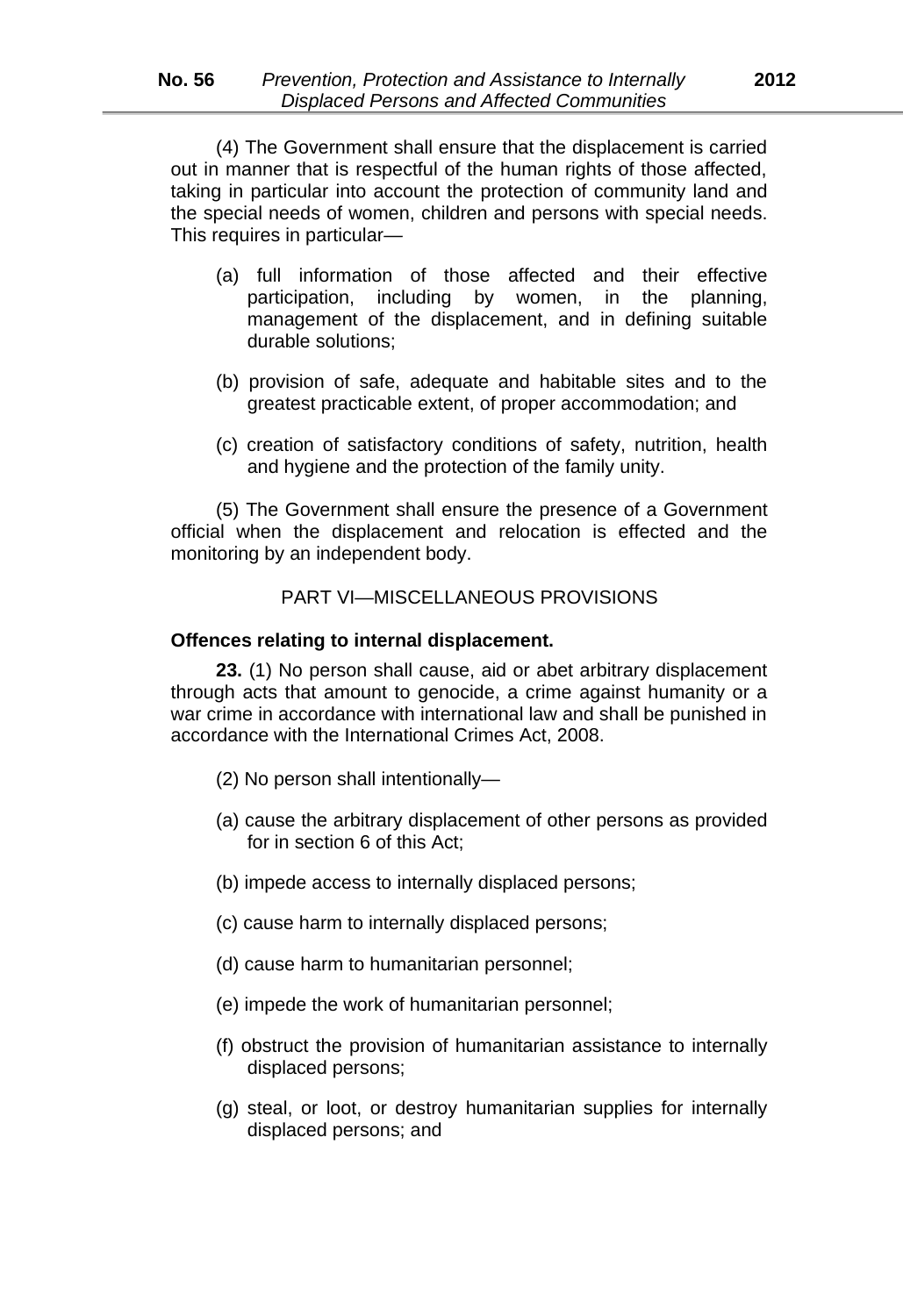(4) The Government shall ensure that the displacement is carried out in manner that is respectful of the human rights of those affected, taking in particular into account the protection of community land and the special needs of women, children and persons with special needs. This requires in particular*—*

- (a) full information of those affected and their effective participation, including by women, in the planning, management of the displacement, and in defining suitable durable solutions;
- (b) provision of safe, adequate and habitable sites and to the greatest practicable extent, of proper accommodation; and
- (c) creation of satisfactory conditions of safety, nutrition, health and hygiene and the protection of the family unity.

(5) The Government shall ensure the presence of a Government official when the displacement and relocation is effected and the monitoring by an independent body.

#### PART VI—MISCELLANEOUS PROVISIONS

#### **Offences relating to internal displacement.**

**23.** (1) No person shall cause, aid or abet arbitrary displacement through acts that amount to genocide, a crime against humanity or a war crime in accordance with international law and shall be punished in accordance with the International Crimes Act, 2008.

- (2) No person shall intentionally—
- (a) cause the arbitrary displacement of other persons as provided for in section 6 of this Act;
- (b) impede access to internally displaced persons;
- (c) cause harm to internally displaced persons;
- (d) cause harm to humanitarian personnel;
- (e) impede the work of humanitarian personnel;
- (f) obstruct the provision of humanitarian assistance to internally displaced persons;
- (g) steal, or loot, or destroy humanitarian supplies for internally displaced persons; and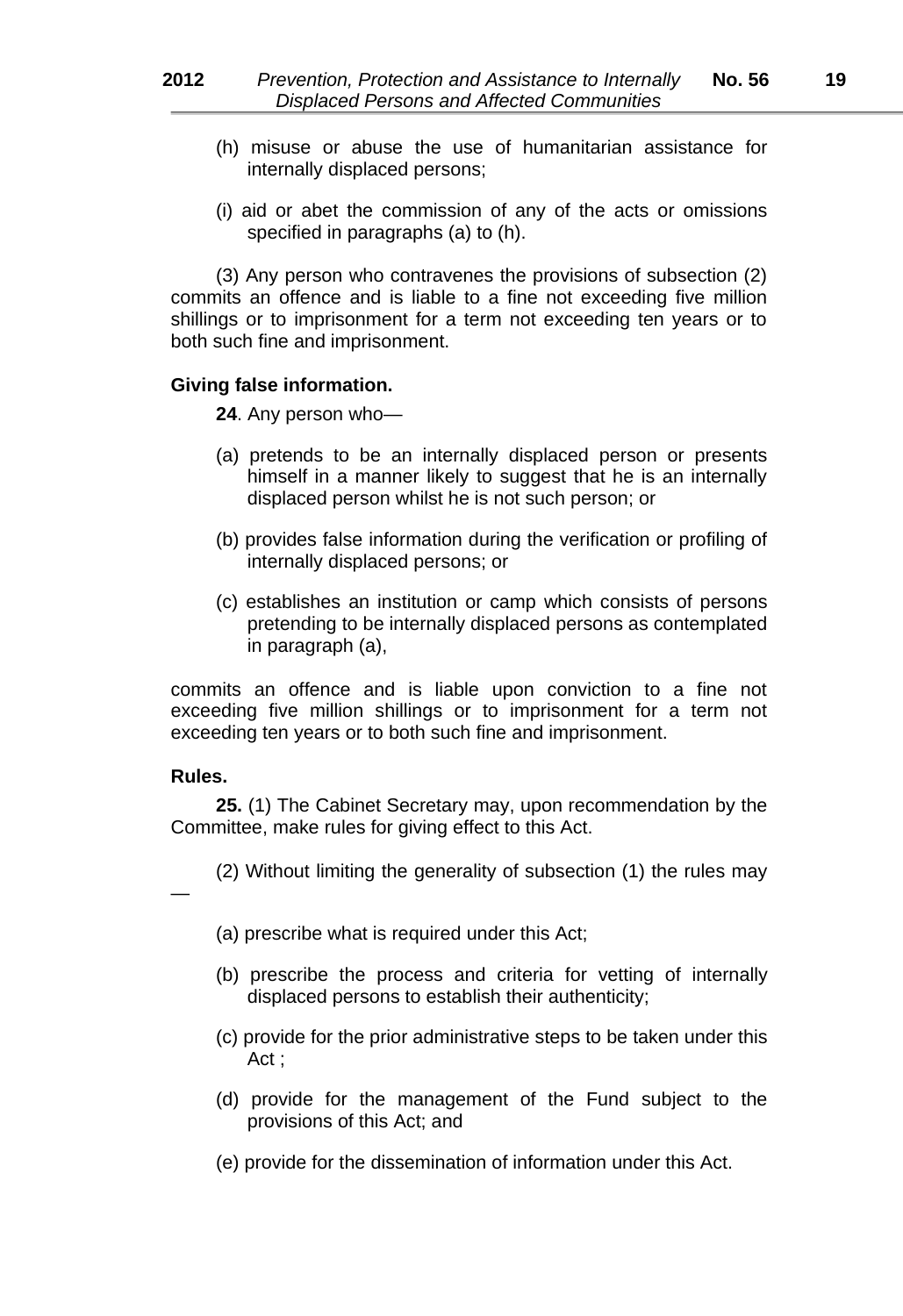- (h) misuse or abuse the use of humanitarian assistance for internally displaced persons;
- (i) aid or abet the commission of any of the acts or omissions specified in paragraphs (a) to (h).

(3) Any person who contravenes the provisions of subsection (2) commits an offence and is liable to a fine not exceeding five million shillings or to imprisonment for a term not exceeding ten years or to both such fine and imprisonment.

#### **Giving false information.**

**24**. Any person who—

- (a) pretends to be an internally displaced person or presents himself in a manner likely to suggest that he is an internally displaced person whilst he is not such person; or
- (b) provides false information during the verification or profiling of internally displaced persons; or
- (c) establishes an institution or camp which consists of persons pretending to be internally displaced persons as contemplated in paragraph (a),

commits an offence and is liable upon conviction to a fine not exceeding five million shillings or to imprisonment for a term not exceeding ten years or to both such fine and imprisonment.

# **Rules.**

—

**25.** (1) The Cabinet Secretary may, upon recommendation by the Committee, make rules for giving effect to this Act.

(2) Without limiting the generality of subsection (1) the rules may

(a) prescribe what is required under this Act;

- (b) prescribe the process and criteria for vetting of internally displaced persons to establish their authenticity;
- (c) provide for the prior administrative steps to be taken under this Act ;
- (d) provide for the management of the Fund subject to the provisions of this Act; and
- (e) provide for the dissemination of information under this Act.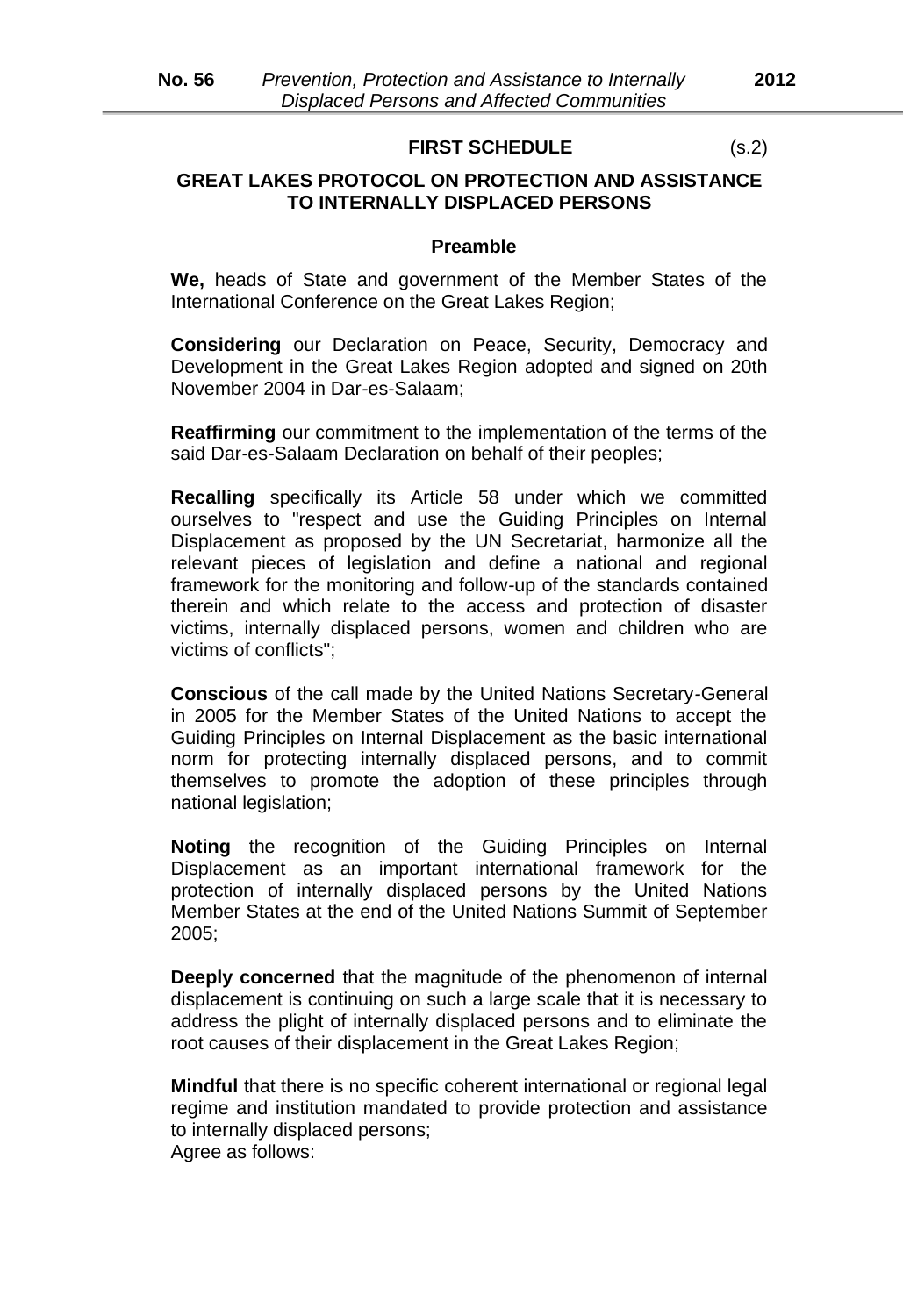#### **FIRST SCHEDULE** (s.2)

# **GREAT LAKES PROTOCOL ON PROTECTION AND ASSISTANCE TO INTERNALLY DISPLACED PERSONS**

#### **Preamble**

**We,** heads of State and government of the Member States of the International Conference on the Great Lakes Region;

**Considering** our Declaration on Peace, Security, Democracy and Development in the Great Lakes Region adopted and signed on 20th November 2004 in Dar*-*es*-*Salaam;

**Reaffirming** our commitment to the implementation of the terms of the said Dar*-*es*-*Salaam Declaration on behalf of their peoples;

**Recalling** specifically its Article 58 under which we committed ourselves to "respect and use the Guiding Principles on Internal Displacement as proposed by the UN Secretariat, harmonize all the relevant pieces of legislation and define a national and regional framework for the monitoring and follow*-*up of the standards contained therein and which relate to the access and protection of disaster victims, internally displaced persons, women and children who are victims of conflicts";

**Conscious** of the call made by the United Nations Secretary*-*General in 2005 for the Member States of the United Nations to accept the Guiding Principles on Internal Displacement as the basic international norm for protecting internally displaced persons, and to commit themselves to promote the adoption of these principles through national legislation;

**Noting** the recognition of the Guiding Principles on Internal Displacement as an important international framework for the protection of internally displaced persons by the United Nations Member States at the end of the United Nations Summit of September 2005;

**Deeply concerned** that the magnitude of the phenomenon of internal displacement is continuing on such a large scale that it is necessary to address the plight of internally displaced persons and to eliminate the root causes of their displacement in the Great Lakes Region;

**Mindful** that there is no specific coherent international or regional legal regime and institution mandated to provide protection and assistance to internally displaced persons; Agree as follows: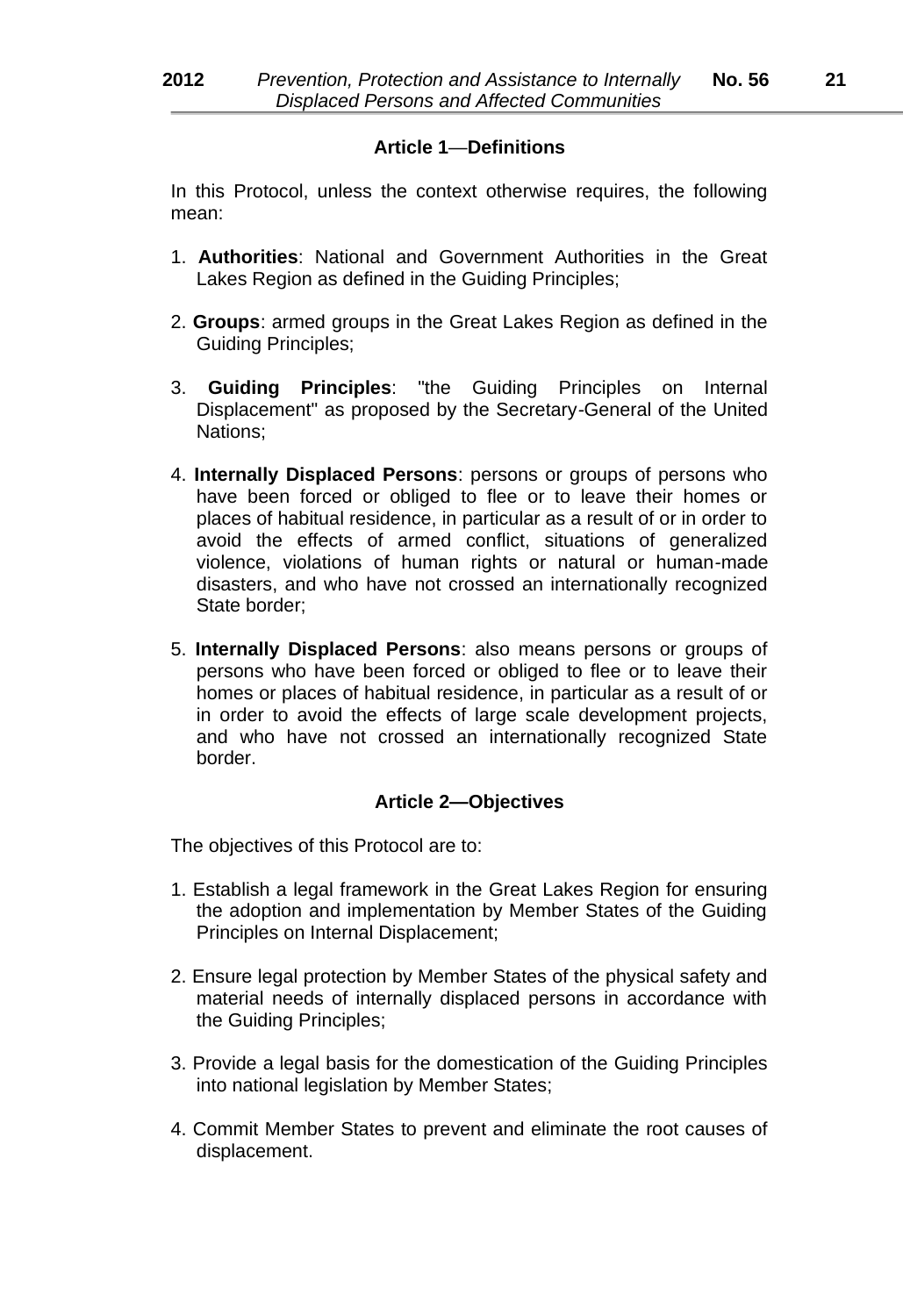# **Article 1**—**Definitions**

In this Protocol, unless the context otherwise requires, the following mean:

- 1. **Authorities**: National and Government Authorities in the Great Lakes Region as defined in the Guiding Principles;
- 2. **Groups**: armed groups in the Great Lakes Region as defined in the Guiding Principles;
- 3. **Guiding Principles**: "the Guiding Principles on Internal Displacement" as proposed by the Secretary*-*General of the United Nations;
- 4. **Internally Displaced Persons**: persons or groups of persons who have been forced or obliged to flee or to leave their homes or places of habitual residence, in particular as a result of or in order to avoid the effects of armed conflict, situations of generalized violence, violations of human rights or natural or human*-*made disasters, and who have not crossed an internationally recognized State border;
- 5. **Internally Displaced Persons**: also means persons or groups of persons who have been forced or obliged to flee or to leave their homes or places of habitual residence, in particular as a result of or in order to avoid the effects of large scale development projects, and who have not crossed an internationally recognized State border.

# **Article 2—Objectives**

The objectives of this Protocol are to:

- 1. Establish a legal framework in the Great Lakes Region for ensuring the adoption and implementation by Member States of the Guiding Principles on Internal Displacement;
- 2. Ensure legal protection by Member States of the physical safety and material needs of internally displaced persons in accordance with the Guiding Principles;
- 3. Provide a legal basis for the domestication of the Guiding Principles into national legislation by Member States;
- 4. Commit Member States to prevent and eliminate the root causes of displacement.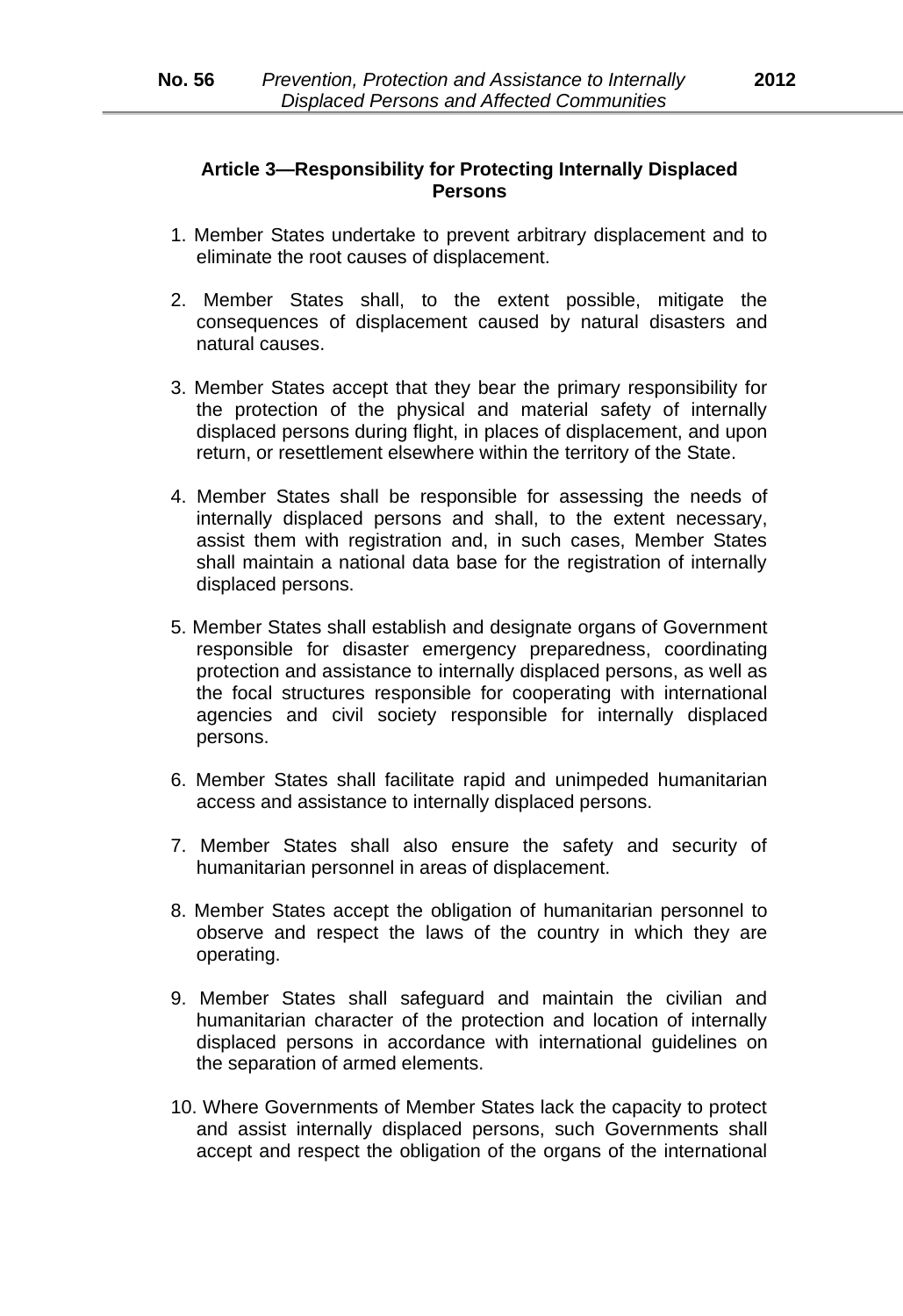# **Article 3—Responsibility for Protecting Internally Displaced Persons**

- 1. Member States undertake to prevent arbitrary displacement and to eliminate the root causes of displacement.
- 2. Member States shall, to the extent possible, mitigate the consequences of displacement caused by natural disasters and natural causes.
- 3. Member States accept that they bear the primary responsibility for the protection of the physical and material safety of internally displaced persons during flight, in places of displacement, and upon return, or resettlement elsewhere within the territory of the State.
- 4. Member States shall be responsible for assessing the needs of internally displaced persons and shall, to the extent necessary, assist them with registration and, in such cases, Member States shall maintain a national data base for the registration of internally displaced persons.
- 5. Member States shall establish and designate organs of Government responsible for disaster emergency preparedness, coordinating protection and assistance to internally displaced persons, as well as the focal structures responsible for cooperating with international agencies and civil society responsible for internally displaced persons.
- 6. Member States shall facilitate rapid and unimpeded humanitarian access and assistance to internally displaced persons.
- 7. Member States shall also ensure the safety and security of humanitarian personnel in areas of displacement.
- 8. Member States accept the obligation of humanitarian personnel to observe and respect the laws of the country in which they are operating.
- 9. Member States shall safeguard and maintain the civilian and humanitarian character of the protection and location of internally displaced persons in accordance with international guidelines on the separation of armed elements.
- 10. Where Governments of Member States lack the capacity to protect and assist internally displaced persons, such Governments shall accept and respect the obligation of the organs of the international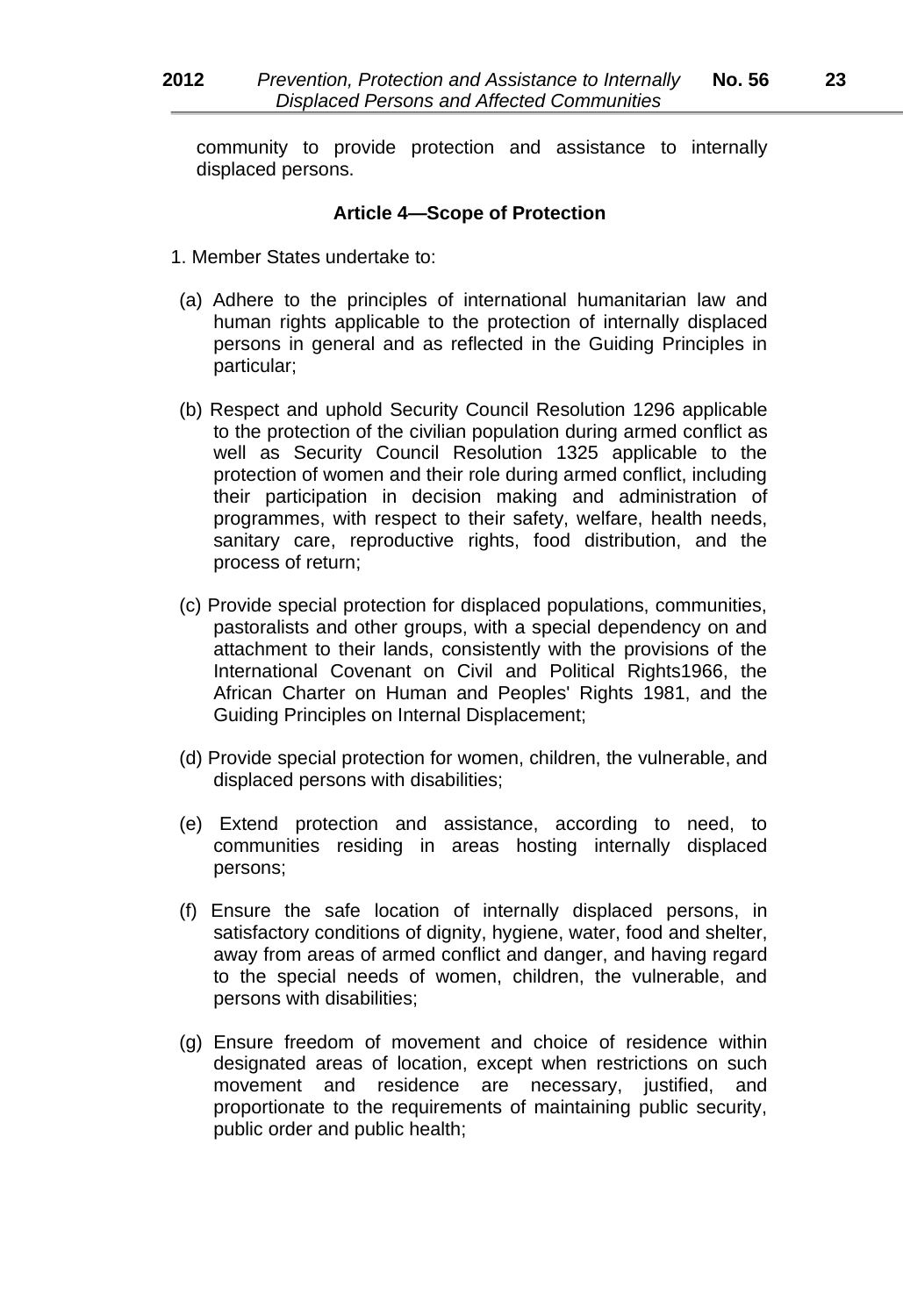community to provide protection and assistance to internally displaced persons.

#### **Article 4—Scope of Protection**

- 1. Member States undertake to:
- (a) Adhere to the principles of international humanitarian law and human rights applicable to the protection of internally displaced persons in general and as reflected in the Guiding Principles in particular;
- (b) Respect and uphold Security Council Resolution 1296 applicable to the protection of the civilian population during armed conflict as well as Security Council Resolution 1325 applicable to the protection of women and their role during armed conflict, including their participation in decision making and administration of programmes, with respect to their safety, welfare, health needs, sanitary care, reproductive rights, food distribution, and the process of return;
- (c) Provide special protection for displaced populations, communities, pastoralists and other groups, with a special dependency on and attachment to their lands, consistently with the provisions of the International Covenant on Civil and Political Rights1966, the African Charter on Human and Peoples' Rights 1981, and the Guiding Principles on Internal Displacement;
- (d) Provide special protection for women, children, the vulnerable, and displaced persons with disabilities;
- (e) Extend protection and assistance, according to need, to communities residing in areas hosting internally displaced persons;
- (f) Ensure the safe location of internally displaced persons, in satisfactory conditions of dignity, hygiene, water, food and shelter, away from areas of armed conflict and danger, and having regard to the special needs of women, children, the vulnerable, and persons with disabilities;
- (g) Ensure freedom of movement and choice of residence within designated areas of location, except when restrictions on such movement and residence are necessary, justified, and proportionate to the requirements of maintaining public security, public order and public health;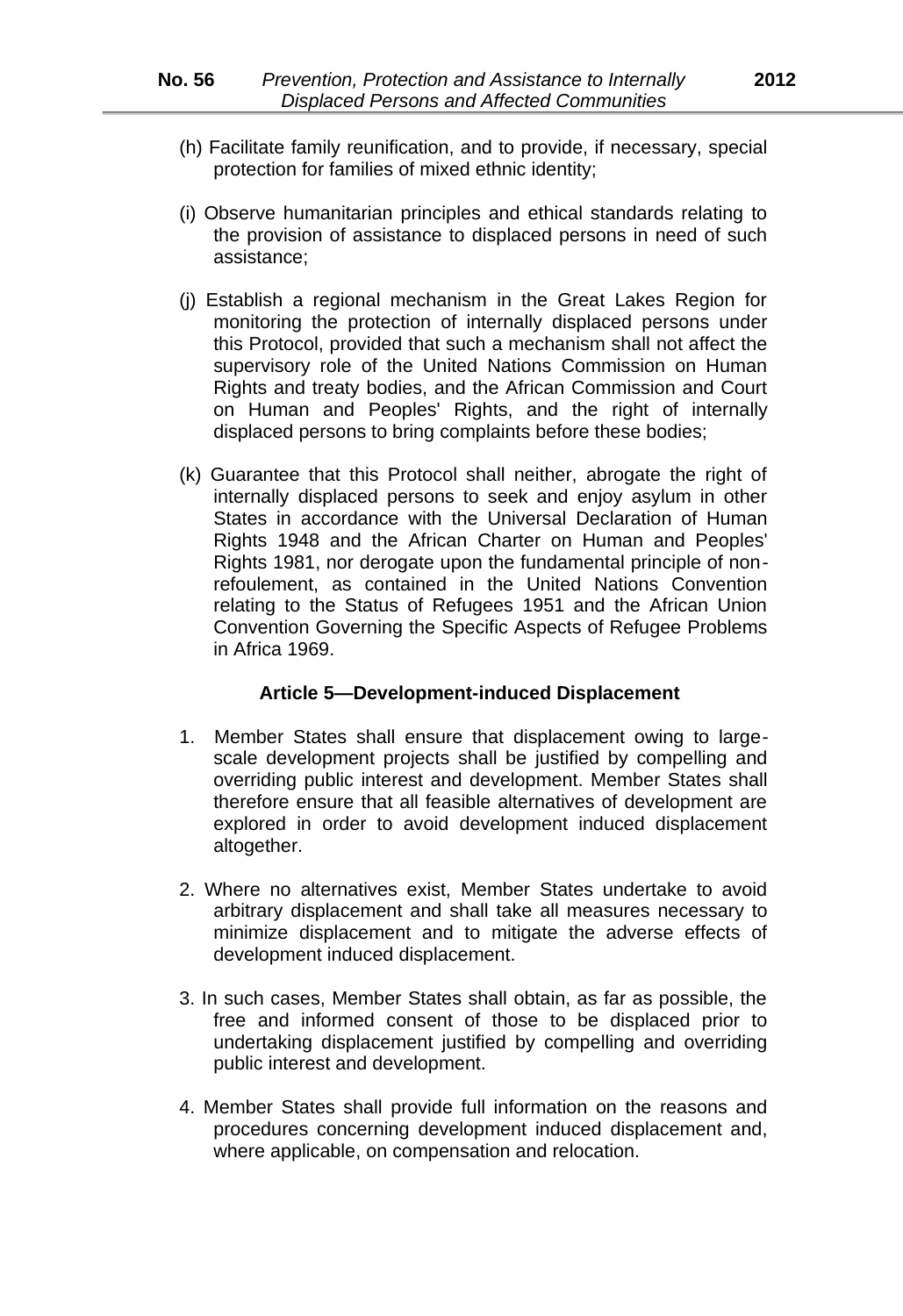- (h) Facilitate family reunification, and to provide, if necessary, special protection for families of mixed ethnic identity;
- (i) Observe humanitarian principles and ethical standards relating to the provision of assistance to displaced persons in need of such assistance;
- (j) Establish a regional mechanism in the Great Lakes Region for monitoring the protection of internally displaced persons under this Protocol, provided that such a mechanism shall not affect the supervisory role of the United Nations Commission on Human Rights and treaty bodies, and the African Commission and Court on Human and Peoples' Rights, and the right of internally displaced persons to bring complaints before these bodies;
- (k) Guarantee that this Protocol shall neither, abrogate the right of internally displaced persons to seek and enjoy asylum in other States in accordance with the Universal Declaration of Human Rights 1948 and the African Charter on Human and Peoples' Rights 1981, nor derogate upon the fundamental principle of nonrefoulement, as contained in the United Nations Convention relating to the Status of Refugees 1951 and the African Union Convention Governing the Specific Aspects of Refugee Problems in Africa 1969.

#### **Article 5—Development***-***induced Displacement**

- 1. Member States shall ensure that displacement owing to largescale development projects shall be justified by compelling and overriding public interest and development. Member States shall therefore ensure that all feasible alternatives of development are explored in order to avoid development induced displacement altogether.
- 2. Where no alternatives exist, Member States undertake to avoid arbitrary displacement and shall take all measures necessary to minimize displacement and to mitigate the adverse effects of development induced displacement.
- 3. In such cases, Member States shall obtain, as far as possible, the free and informed consent of those to be displaced prior to undertaking displacement justified by compelling and overriding public interest and development.
- 4. Member States shall provide full information on the reasons and procedures concerning development induced displacement and, where applicable, on compensation and relocation.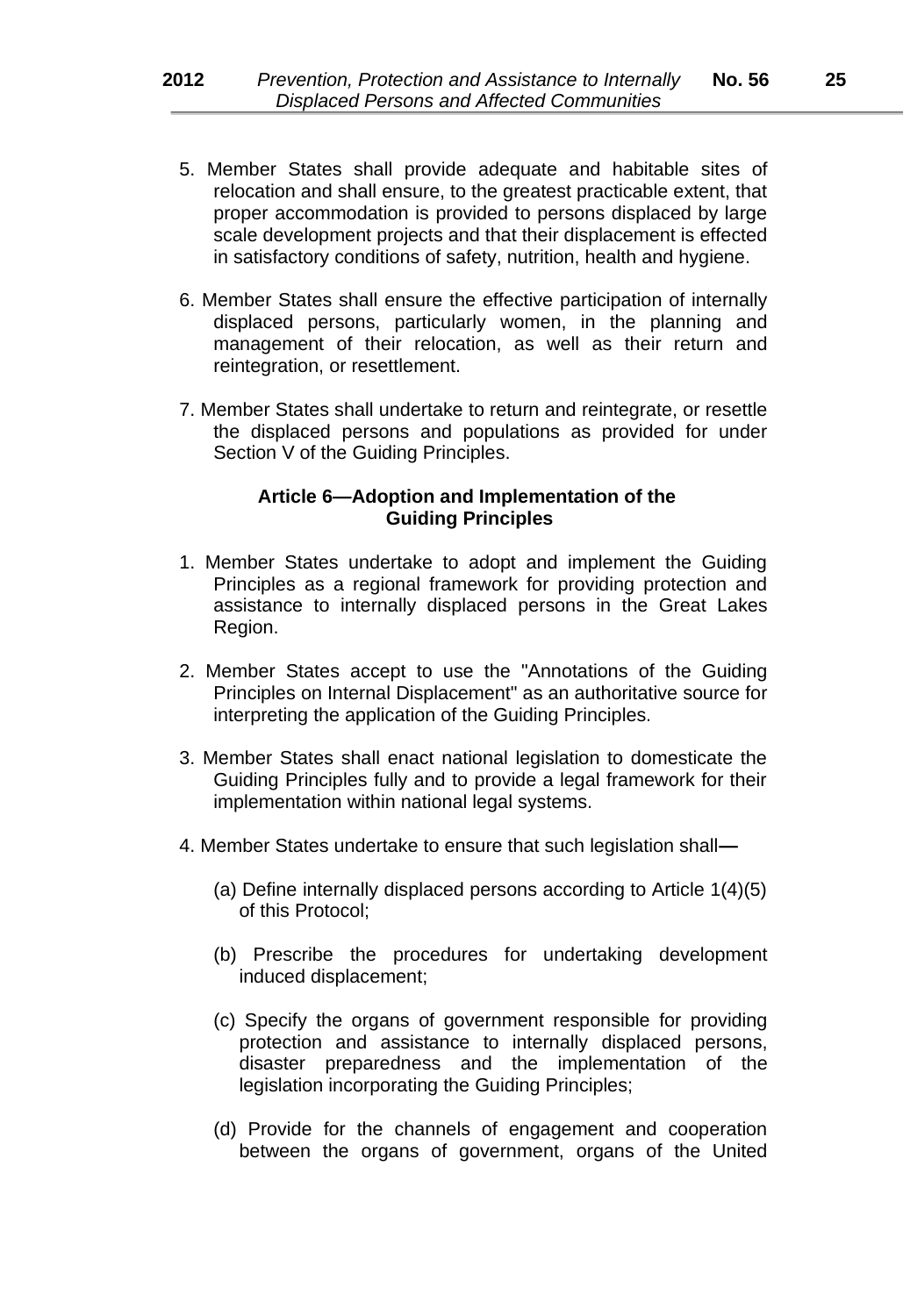- 5. Member States shall provide adequate and habitable sites of relocation and shall ensure, to the greatest practicable extent, that proper accommodation is provided to persons displaced by large scale development projects and that their displacement is effected in satisfactory conditions of safety, nutrition, health and hygiene.
- 6. Member States shall ensure the effective participation of internally displaced persons, particularly women, in the planning and management of their relocation, as well as their return and reintegration, or resettlement.
- 7. Member States shall undertake to return and reintegrate, or resettle the displaced persons and populations as provided for under Section V of the Guiding Principles.

#### **Article 6—Adoption and Implementation of the Guiding Principles**

- 1. Member States undertake to adopt and implement the Guiding Principles as a regional framework for providing protection and assistance to internally displaced persons in the Great Lakes Region.
- 2. Member States accept to use the "Annotations of the Guiding Principles on Internal Displacement" as an authoritative source for interpreting the application of the Guiding Principles.
- 3. Member States shall enact national legislation to domesticate the Guiding Principles fully and to provide a legal framework for their implementation within national legal systems.
- 4. Member States undertake to ensure that such legislation shall**—**
	- (a) Define internally displaced persons according to Article 1(4)(5) of this Protocol;
	- (b) Prescribe the procedures for undertaking development induced displacement;
	- (c) Specify the organs of government responsible for providing protection and assistance to internally displaced persons, disaster preparedness and the implementation of the legislation incorporating the Guiding Principles;
	- (d) Provide for the channels of engagement and cooperation between the organs of government, organs of the United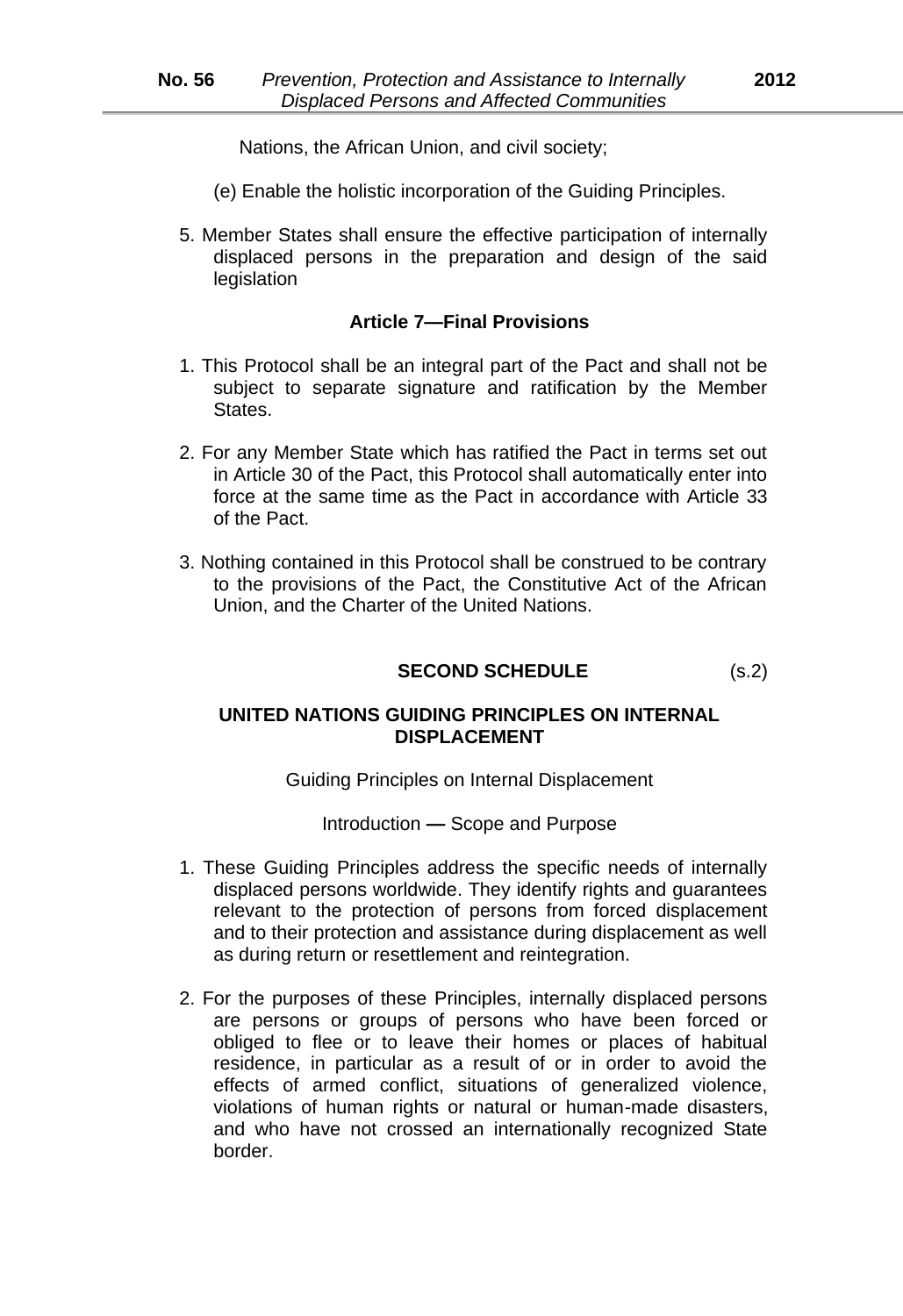Nations, the African Union, and civil society;

- (e) Enable the holistic incorporation of the Guiding Principles.
- 5. Member States shall ensure the effective participation of internally displaced persons in the preparation and design of the said legislation

#### **Article 7—Final Provisions**

- 1. This Protocol shall be an integral part of the Pact and shall not be subject to separate signature and ratification by the Member States.
- 2. For any Member State which has ratified the Pact in terms set out in Article 30 of the Pact, this Protocol shall automatically enter into force at the same time as the Pact in accordance with Article 33 of the Pact.
- 3. Nothing contained in this Protocol shall be construed to be contrary to the provisions of the Pact, the Constitutive Act of the African Union, and the Charter of the United Nations.

# **SECOND SCHEDULE** (s.2)

# **UNITED NATIONS GUIDING PRINCIPLES ON INTERNAL DISPLACEMENT**

Guiding Principles on Internal Displacement

Introduction **—** Scope and Purpose

- 1. These Guiding Principles address the specific needs of internally displaced persons worldwide. They identify rights and guarantees relevant to the protection of persons from forced displacement and to their protection and assistance during displacement as well as during return or resettlement and reintegration.
- 2. For the purposes of these Principles, internally displaced persons are persons or groups of persons who have been forced or obliged to flee or to leave their homes or places of habitual residence, in particular as a result of or in order to avoid the effects of armed conflict, situations of generalized violence, violations of human rights or natural or human*-*made disasters, and who have not crossed an internationally recognized State border.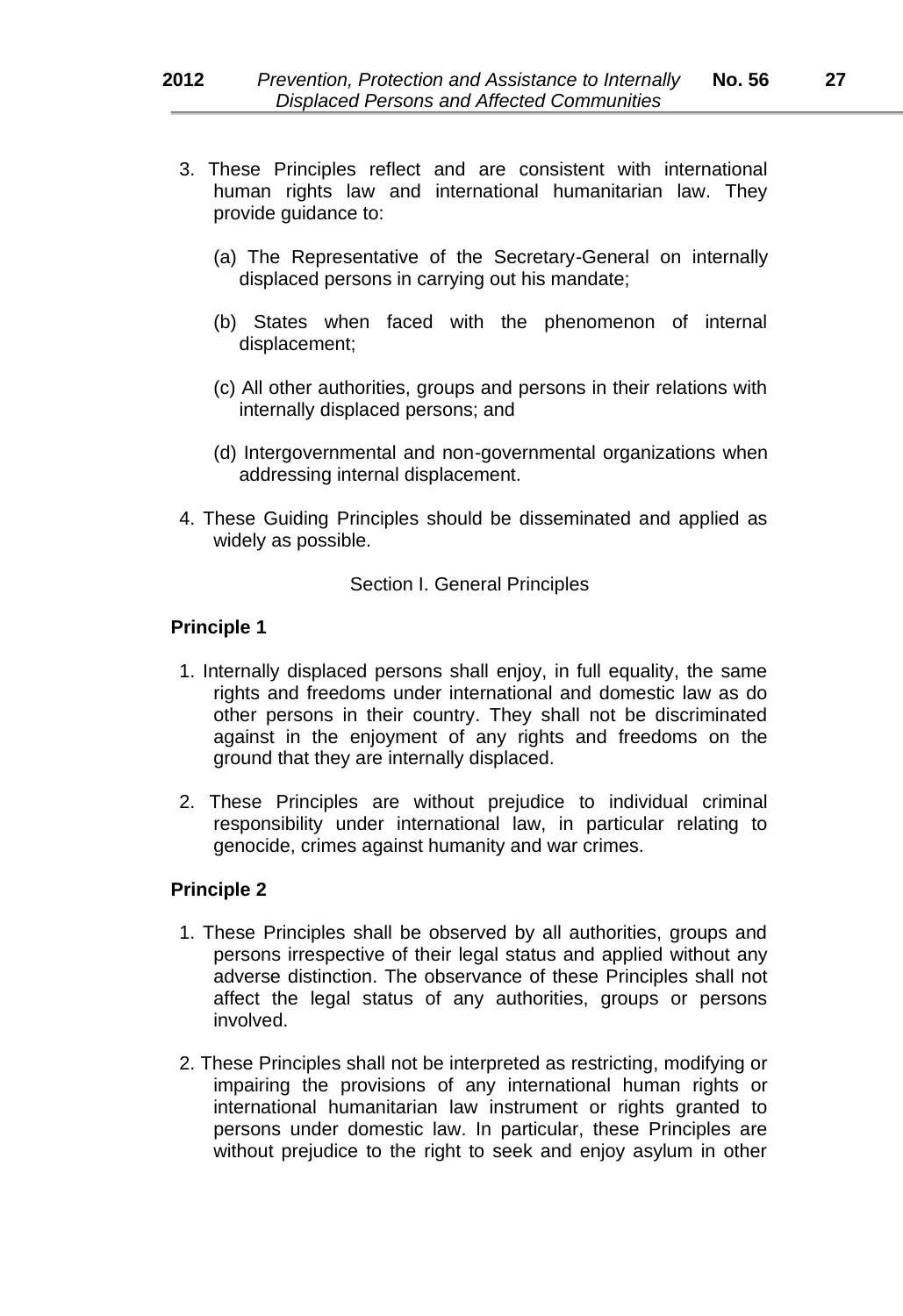- 3. These Principles reflect and are consistent with international human rights law and international humanitarian law. They provide guidance to:
	- (a) The Representative of the Secretary*-*General on internally displaced persons in carrying out his mandate;
	- (b) States when faced with the phenomenon of internal displacement;
	- (c) All other authorities, groups and persons in their relations with internally displaced persons; and
	- (d) Intergovernmental and non*-*governmental organizations when addressing internal displacement.
- 4. These Guiding Principles should be disseminated and applied as widely as possible.

Section I. General Principles

# **Principle 1**

- 1. Internally displaced persons shall enjoy, in full equality, the same rights and freedoms under international and domestic law as do other persons in their country. They shall not be discriminated against in the enjoyment of any rights and freedoms on the ground that they are internally displaced.
- 2. These Principles are without prejudice to individual criminal responsibility under international law, in particular relating to genocide, crimes against humanity and war crimes.

- 1. These Principles shall be observed by all authorities, groups and persons irrespective of their legal status and applied without any adverse distinction. The observance of these Principles shall not affect the legal status of any authorities, groups or persons involved.
- 2. These Principles shall not be interpreted as restricting, modifying or impairing the provisions of any international human rights or international humanitarian law instrument or rights granted to persons under domestic law. In particular, these Principles are without prejudice to the right to seek and enjoy asylum in other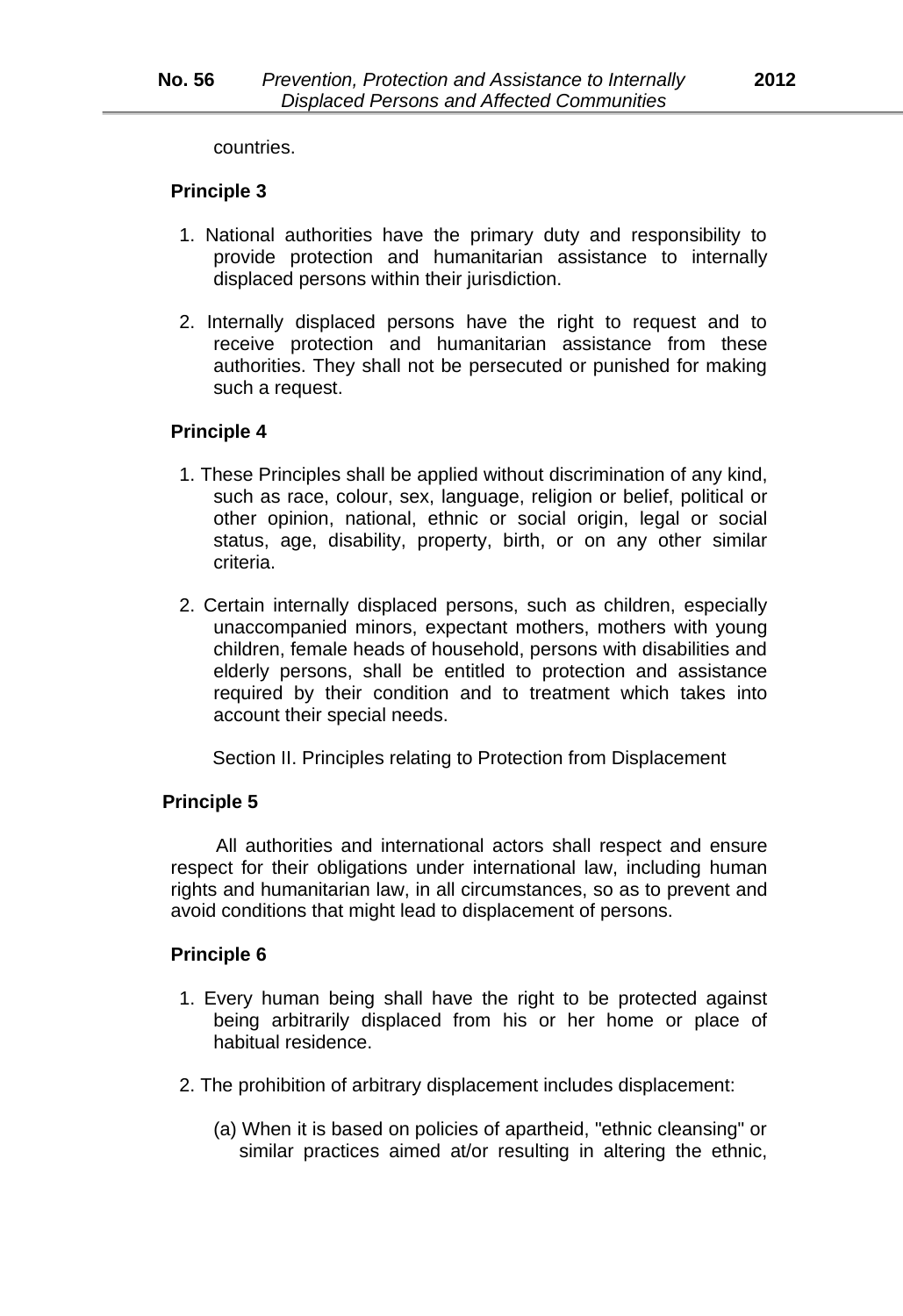countries.

#### **Principle 3**

- 1. National authorities have the primary duty and responsibility to provide protection and humanitarian assistance to internally displaced persons within their jurisdiction.
- 2. Internally displaced persons have the right to request and to receive protection and humanitarian assistance from these authorities. They shall not be persecuted or punished for making such a request.

#### **Principle 4**

- 1. These Principles shall be applied without discrimination of any kind, such as race, colour, sex, language, religion or belief, political or other opinion, national, ethnic or social origin, legal or social status, age, disability, property, birth, or on any other similar criteria.
- 2. Certain internally displaced persons, such as children, especially unaccompanied minors, expectant mothers, mothers with young children, female heads of household, persons with disabilities and elderly persons, shall be entitled to protection and assistance required by their condition and to treatment which takes into account their special needs.

Section II. Principles relating to Protection from Displacement

# **Principle 5**

All authorities and international actors shall respect and ensure respect for their obligations under international law, including human rights and humanitarian law, in all circumstances, so as to prevent and avoid conditions that might lead to displacement of persons.

- 1. Every human being shall have the right to be protected against being arbitrarily displaced from his or her home or place of habitual residence.
- 2. The prohibition of arbitrary displacement includes displacement:
	- (a) When it is based on policies of apartheid, "ethnic cleansing" or similar practices aimed at/or resulting in altering the ethnic,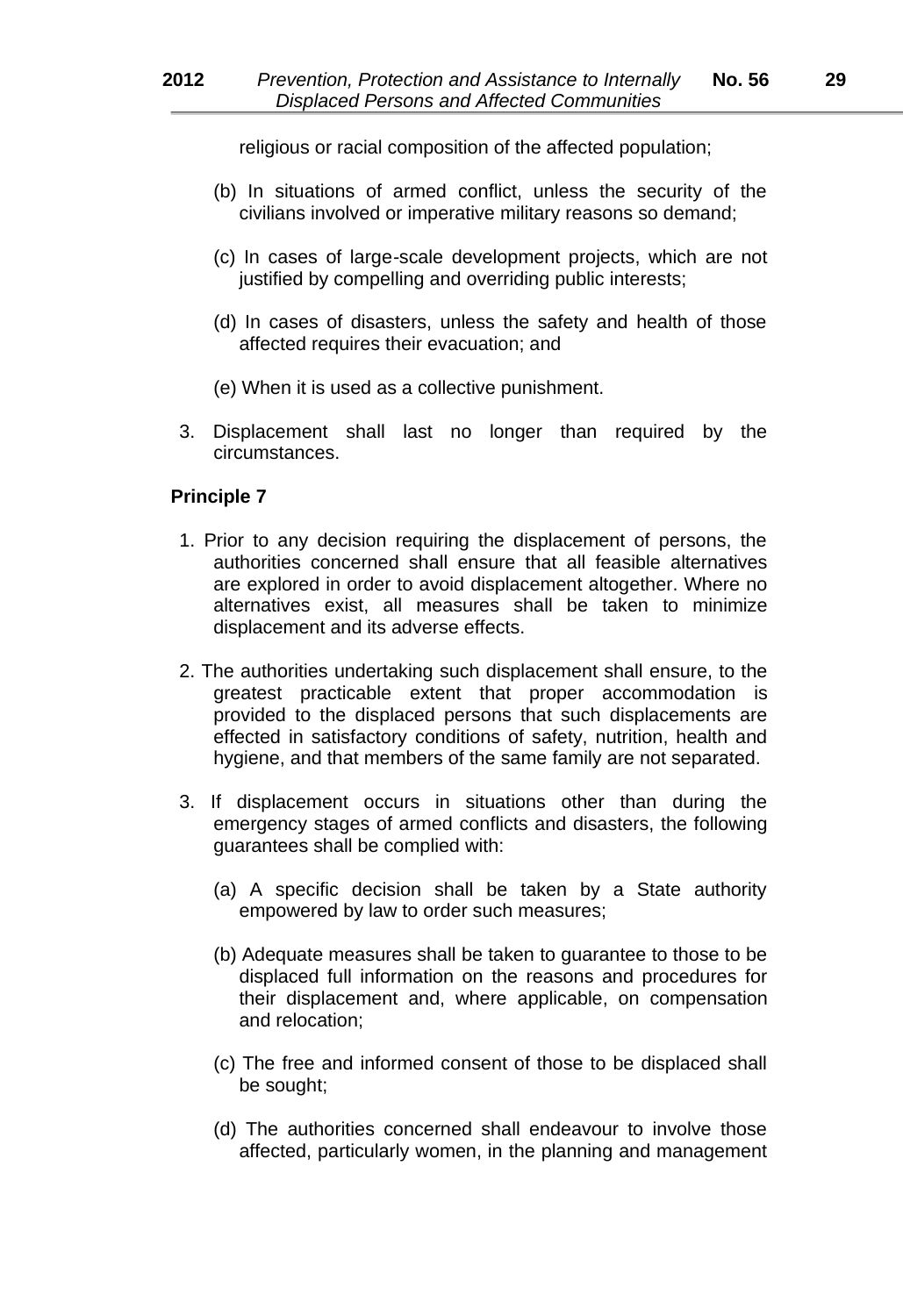religious or racial composition of the affected population;

- (b) In situations of armed conflict, unless the security of the civilians involved or imperative military reasons so demand;
- (c) In cases of large*-*scale development projects, which are not justified by compelling and overriding public interests;
- (d) In cases of disasters, unless the safety and health of those affected requires their evacuation; and
- (e) When it is used as a collective punishment.
- 3. Displacement shall last no longer than required by the circumstances.

- 1. Prior to any decision requiring the displacement of persons, the authorities concerned shall ensure that all feasible alternatives are explored in order to avoid displacement altogether. Where no alternatives exist, all measures shall be taken to minimize displacement and its adverse effects.
- 2. The authorities undertaking such displacement shall ensure, to the greatest practicable extent that proper accommodation is provided to the displaced persons that such displacements are effected in satisfactory conditions of safety, nutrition, health and hygiene, and that members of the same family are not separated.
- 3. If displacement occurs in situations other than during the emergency stages of armed conflicts and disasters, the following guarantees shall be complied with:
	- (a) A specific decision shall be taken by a State authority empowered by law to order such measures;
	- (b) Adequate measures shall be taken to guarantee to those to be displaced full information on the reasons and procedures for their displacement and, where applicable, on compensation and relocation;
	- (c) The free and informed consent of those to be displaced shall be sought;
	- (d) The authorities concerned shall endeavour to involve those affected, particularly women, in the planning and management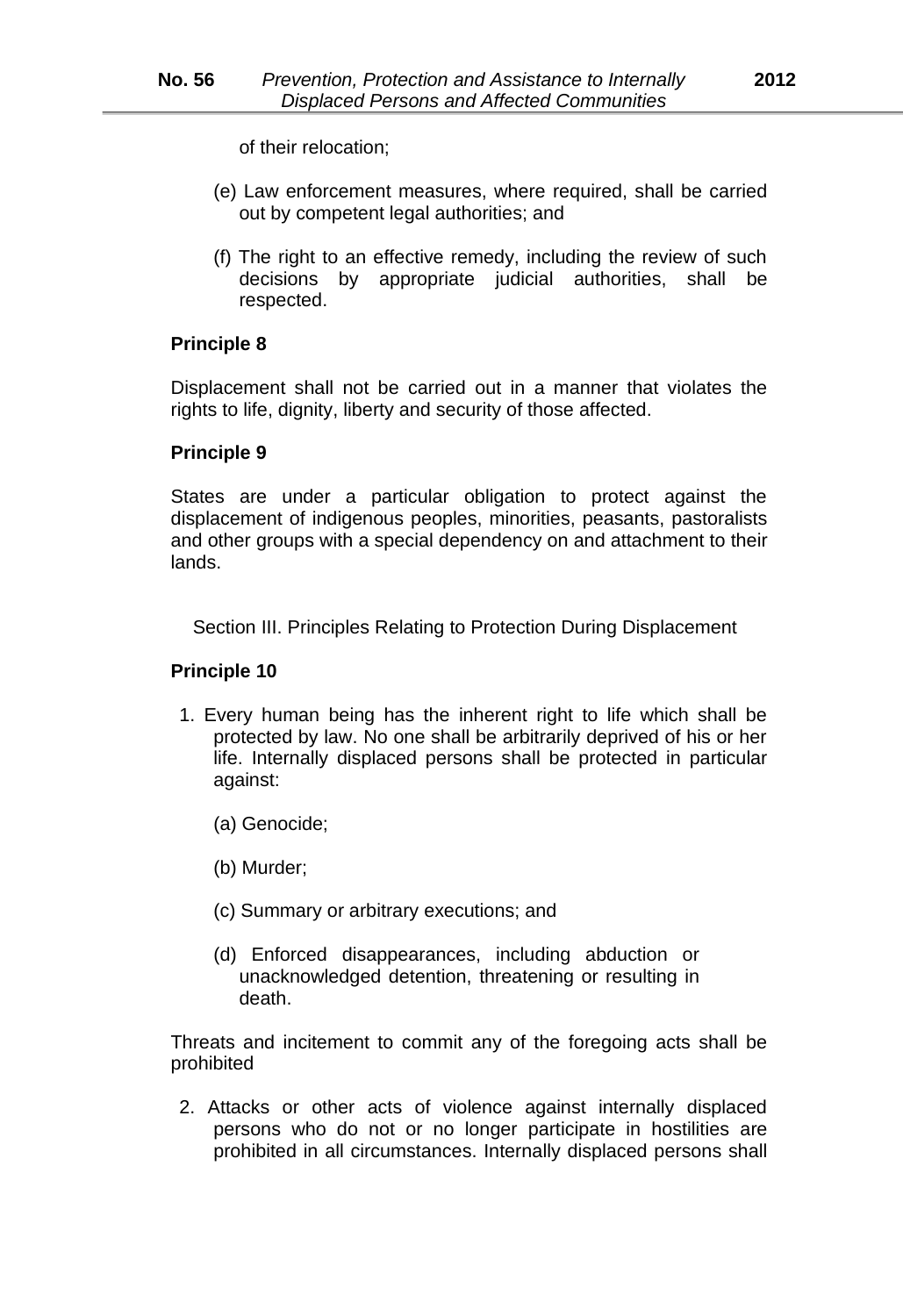of their relocation;

- (e) Law enforcement measures, where required, shall be carried out by competent legal authorities; and
- (f) The right to an effective remedy, including the review of such decisions by appropriate judicial authorities, shall be respected.

# **Principle 8**

Displacement shall not be carried out in a manner that violates the rights to life, dignity, liberty and security of those affected.

# **Principle 9**

States are under a particular obligation to protect against the displacement of indigenous peoples, minorities, peasants, pastoralists and other groups with a special dependency on and attachment to their lands.

Section III. Principles Relating to Protection During Displacement

# **Principle 10**

- 1. Every human being has the inherent right to life which shall be protected by law. No one shall be arbitrarily deprived of his or her life. Internally displaced persons shall be protected in particular against:
	- (a) Genocide;
	- (b) Murder;
	- (c) Summary or arbitrary executions; and
	- (d) Enforced disappearances, including abduction or unacknowledged detention, threatening or resulting in death.

Threats and incitement to commit any of the foregoing acts shall be prohibited

2. Attacks or other acts of violence against internally displaced persons who do not or no longer participate in hostilities are prohibited in all circumstances. Internally displaced persons shall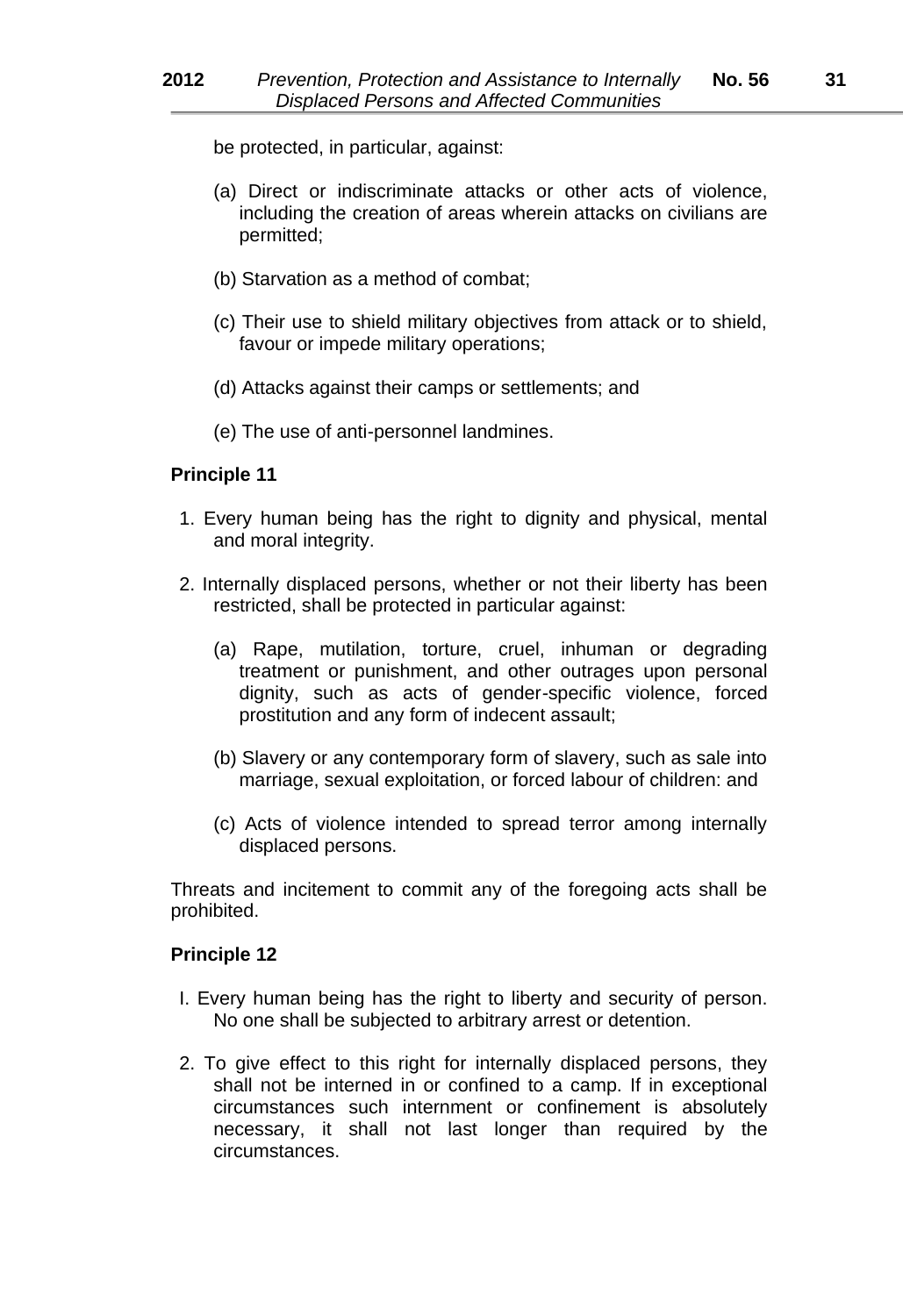be protected, in particular, against:

- (a) Direct or indiscriminate attacks or other acts of violence, including the creation of areas wherein attacks on civilians are permitted;
- (b) Starvation as a method of combat;
- (c) Their use to shield military objectives from attack or to shield, favour or impede military operations;
- (d) Attacks against their camps or settlements; and
- (e) The use of anti*-*personnel landmines.

# **Principle 11**

- 1. Every human being has the right to dignity and physical, mental and moral integrity.
- 2. Internally displaced persons, whether or not their liberty has been restricted, shall be protected in particular against:
	- (a) Rape, mutilation, torture, cruel, inhuman or degrading treatment or punishment, and other outrages upon personal dignity, such as acts of gender*-*specific violence, forced prostitution and any form of indecent assault;
	- (b) Slavery or any contemporary form of slavery, such as sale into marriage, sexual exploitation, or forced labour of children: and
	- (c) Acts of violence intended to spread terror among internally displaced persons.

Threats and incitement to commit any of the foregoing acts shall be prohibited.

- I. Every human being has the right to liberty and security of person. No one shall be subjected to arbitrary arrest or detention.
- 2. To give effect to this right for internally displaced persons, they shall not be interned in or confined to a camp. If in exceptional circumstances such internment or confinement is absolutely necessary, it shall not last longer than required by the circumstances.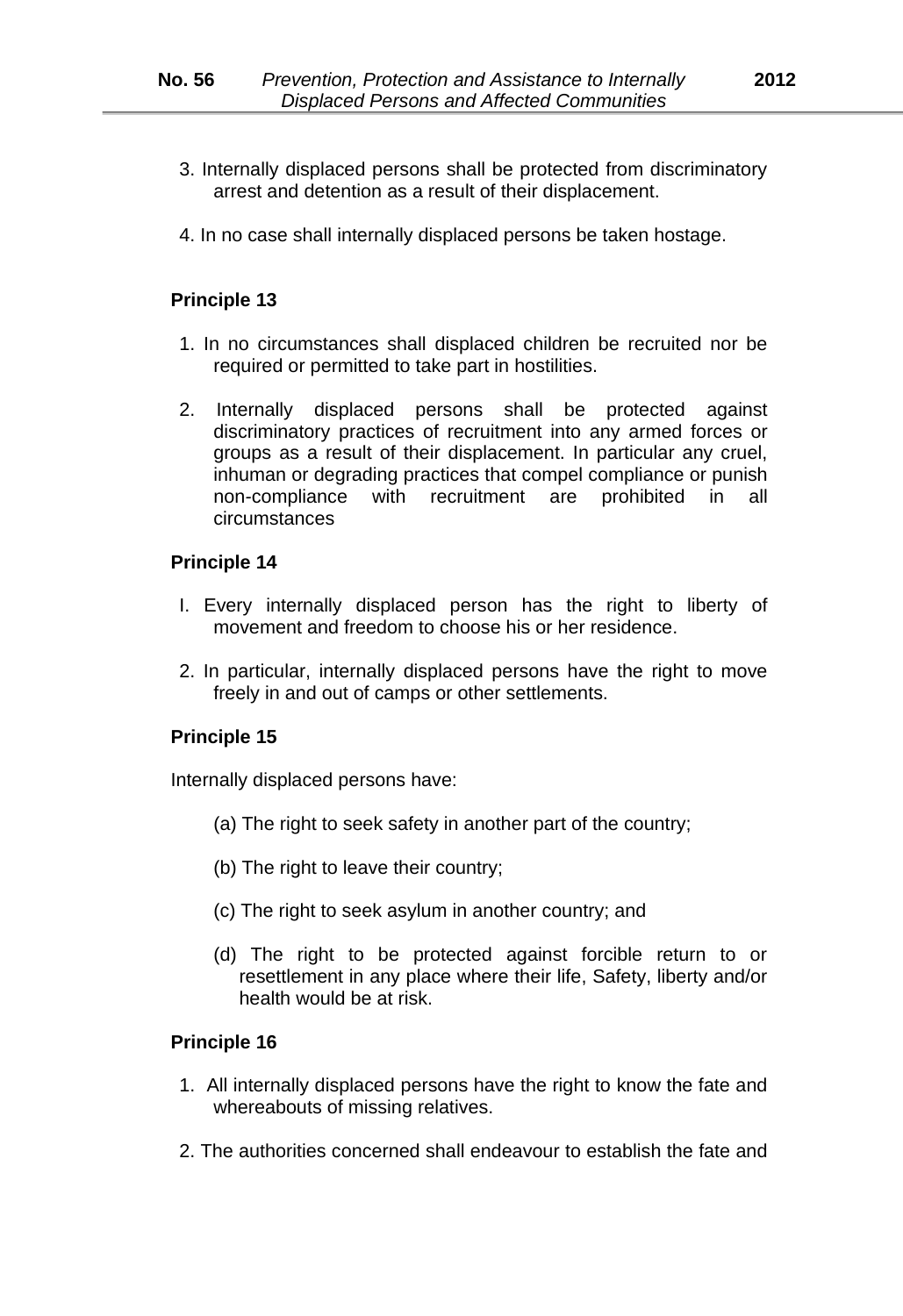- 3. Internally displaced persons shall be protected from discriminatory arrest and detention as a result of their displacement.
- 4. In no case shall internally displaced persons be taken hostage.

- 1. In no circumstances shall displaced children be recruited nor be required or permitted to take part in hostilities.
- 2. Internally displaced persons shall be protected against discriminatory practices of recruitment into any armed forces or groups as a result of their displacement. In particular any cruel, inhuman or degrading practices that compel compliance or punish non*-*compliance with recruitment are prohibited in all circumstances

#### **Principle 14**

- I. Every internally displaced person has the right to liberty of movement and freedom to choose his or her residence.
- 2. In particular, internally displaced persons have the right to move freely in and out of camps or other settlements.

#### **Principle 15**

Internally displaced persons have:

- (a) The right to seek safety in another part of the country;
- (b) The right to leave their country;
- (c) The right to seek asylum in another country; and
- (d) The right to be protected against forcible return to or resettlement in any place where their life, Safety, liberty and/or health would be at risk.

- 1. All internally displaced persons have the right to know the fate and whereabouts of missing relatives.
- 2. The authorities concerned shall endeavour to establish the fate and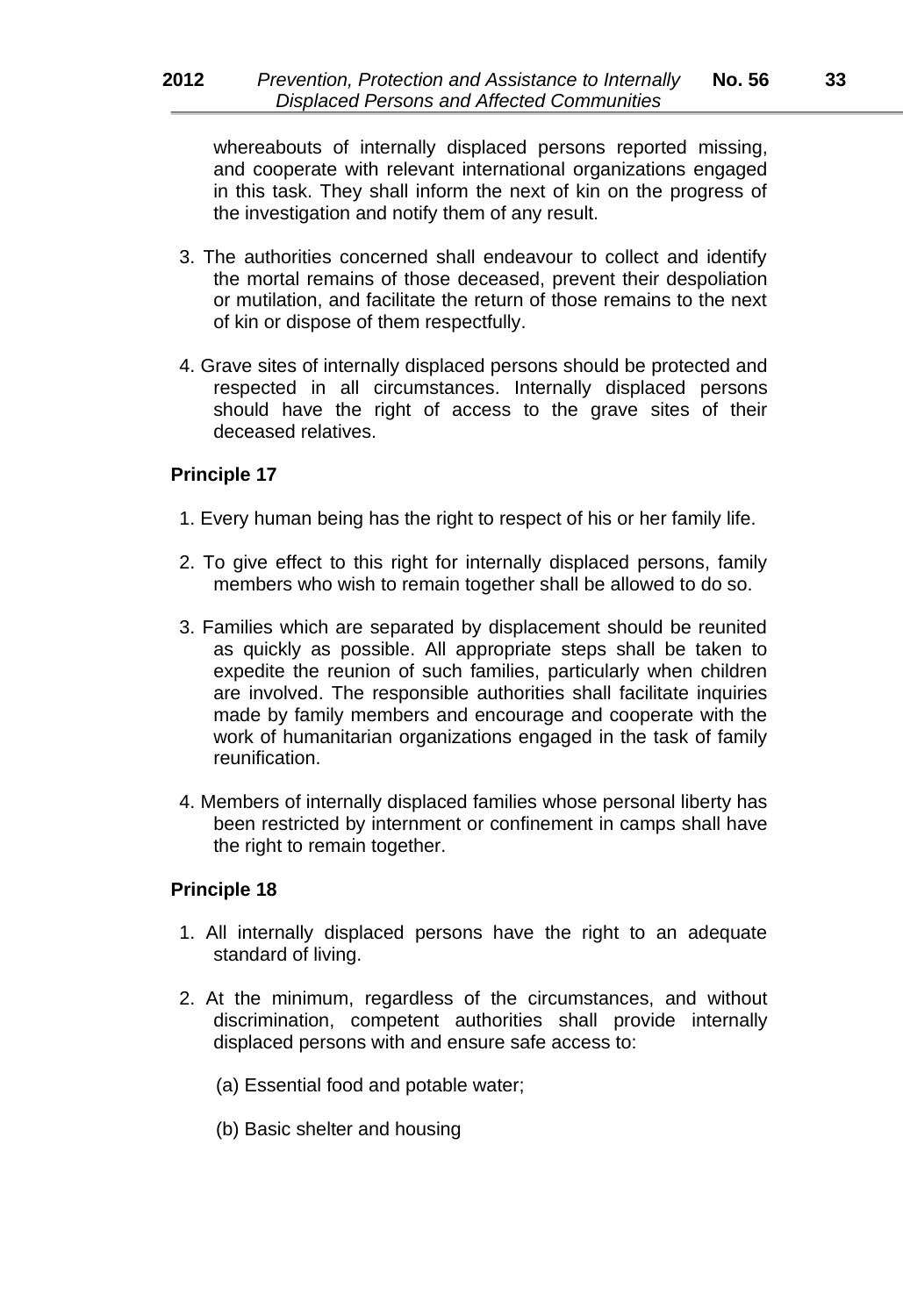whereabouts of internally displaced persons reported missing, and cooperate with relevant international organizations engaged in this task. They shall inform the next of kin on the progress of the investigation and notify them of any result.

- 3. The authorities concerned shall endeavour to collect and identify the mortal remains of those deceased, prevent their despoliation or mutilation, and facilitate the return of those remains to the next of kin or dispose of them respectfully.
- 4. Grave sites of internally displaced persons should be protected and respected in all circumstances. Internally displaced persons should have the right of access to the grave sites of their deceased relatives.

#### **Principle 17**

- 1. Every human being has the right to respect of his or her family life.
- 2. To give effect to this right for internally displaced persons, family members who wish to remain together shall be allowed to do so.
- 3. Families which are separated by displacement should be reunited as quickly as possible. All appropriate steps shall be taken to expedite the reunion of such families, particularly when children are involved. The responsible authorities shall facilitate inquiries made by family members and encourage and cooperate with the work of humanitarian organizations engaged in the task of family reunification.
- 4. Members of internally displaced families whose personal liberty has been restricted by internment or confinement in camps shall have the right to remain together.

- 1. All internally displaced persons have the right to an adequate standard of living.
- 2. At the minimum, regardless of the circumstances, and without discrimination, competent authorities shall provide internally displaced persons with and ensure safe access to:
	- (a) Essential food and potable water;
	- (b) Basic shelter and housing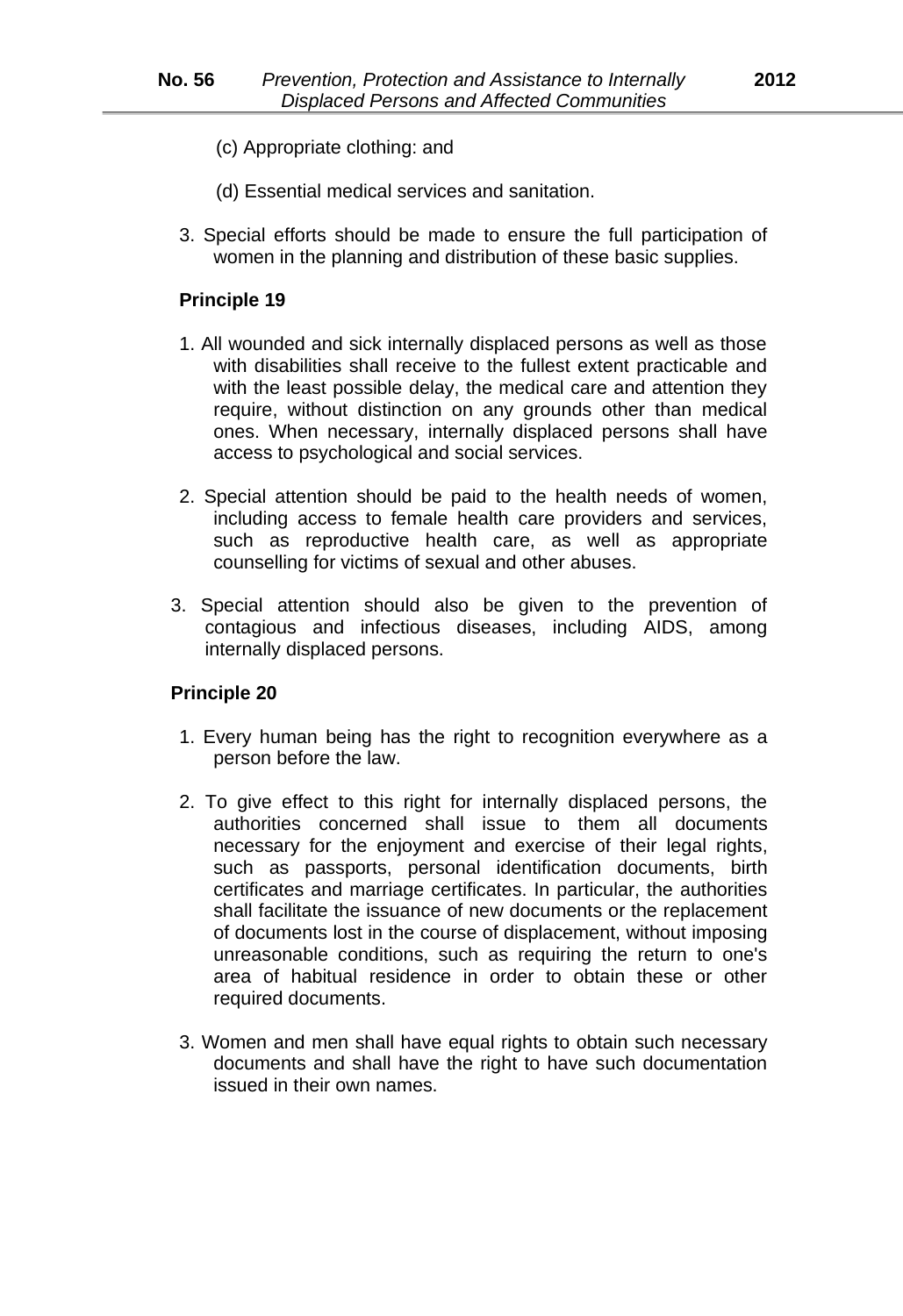- (c) Appropriate clothing: and
- (d) Essential medical services and sanitation.
- 3. Special efforts should be made to ensure the full participation of women in the planning and distribution of these basic supplies.

- 1. All wounded and sick internally displaced persons as well as those with disabilities shall receive to the fullest extent practicable and with the least possible delay, the medical care and attention they require, without distinction on any grounds other than medical ones. When necessary, internally displaced persons shall have access to psychological and social services.
- 2. Special attention should be paid to the health needs of women, including access to female health care providers and services, such as reproductive health care, as well as appropriate counselling for victims of sexual and other abuses.
- 3. Special attention should also be given to the prevention of contagious and infectious diseases, including AIDS, among internally displaced persons.

- 1. Every human being has the right to recognition everywhere as a person before the law.
- 2. To give effect to this right for internally displaced persons, the authorities concerned shall issue to them all documents necessary for the enjoyment and exercise of their legal rights, such as passports, personal identification documents, birth certificates and marriage certificates. In particular, the authorities shall facilitate the issuance of new documents or the replacement of documents lost in the course of displacement, without imposing unreasonable conditions, such as requiring the return to one's area of habitual residence in order to obtain these or other required documents.
- 3. Women and men shall have equal rights to obtain such necessary documents and shall have the right to have such documentation issued in their own names.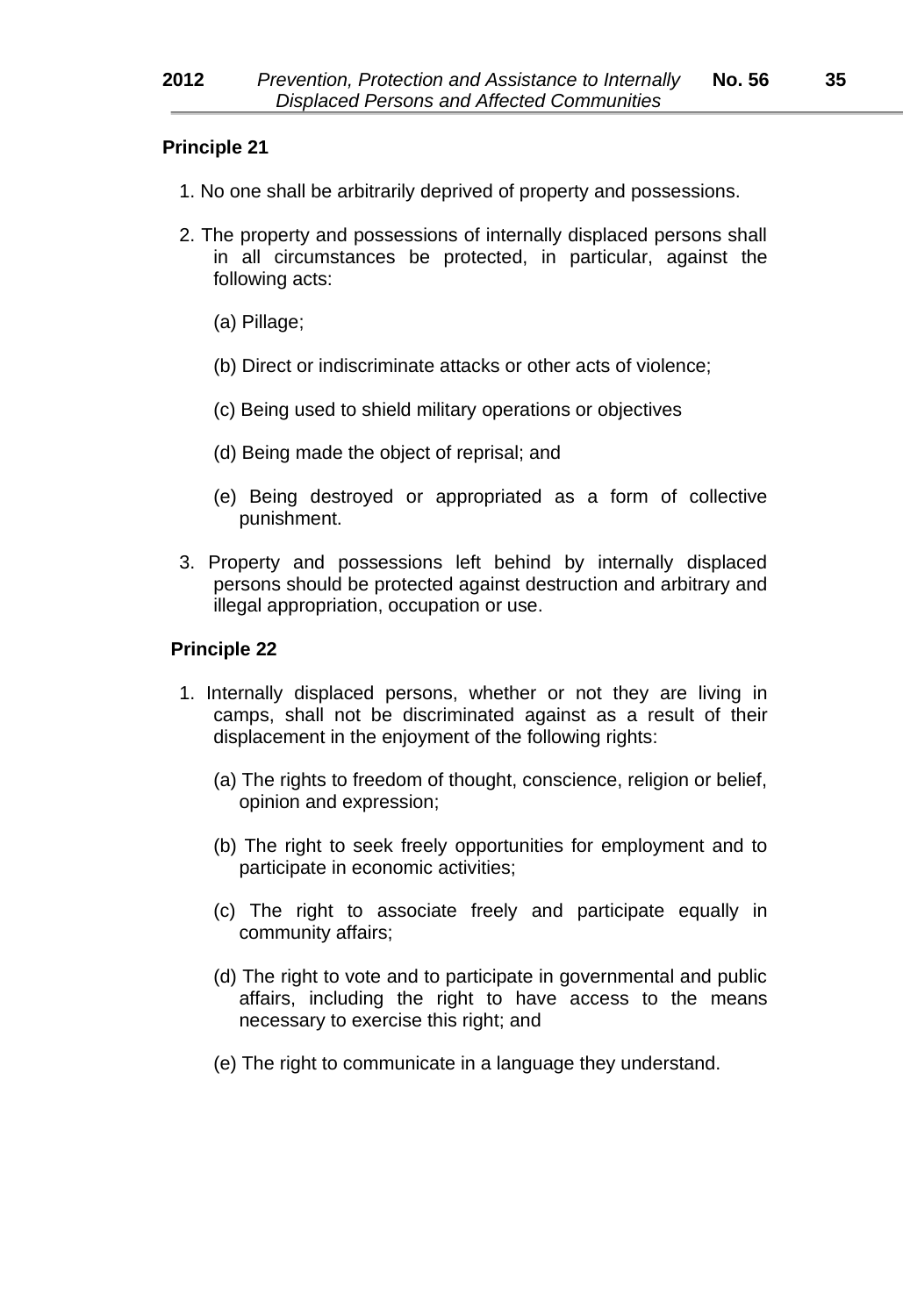- 1. No one shall be arbitrarily deprived of property and possessions.
- 2. The property and possessions of internally displaced persons shall in all circumstances be protected, in particular, against the following acts:
	- (a) Pillage;
	- (b) Direct or indiscriminate attacks or other acts of violence;
	- (c) Being used to shield military operations or objectives
	- (d) Being made the object of reprisal; and
	- (e) Being destroyed or appropriated as a form of collective punishment.
- 3. Property and possessions left behind by internally displaced persons should be protected against destruction and arbitrary and illegal appropriation, occupation or use.

- 1. Internally displaced persons, whether or not they are living in camps, shall not be discriminated against as a result of their displacement in the enjoyment of the following rights:
	- (a) The rights to freedom of thought, conscience, religion or belief, opinion and expression;
	- (b) The right to seek freely opportunities for employment and to participate in economic activities;
	- (c) The right to associate freely and participate equally in community affairs;
	- (d) The right to vote and to participate in governmental and public affairs, including the right to have access to the means necessary to exercise this right; and
	- (e) The right to communicate in a language they understand.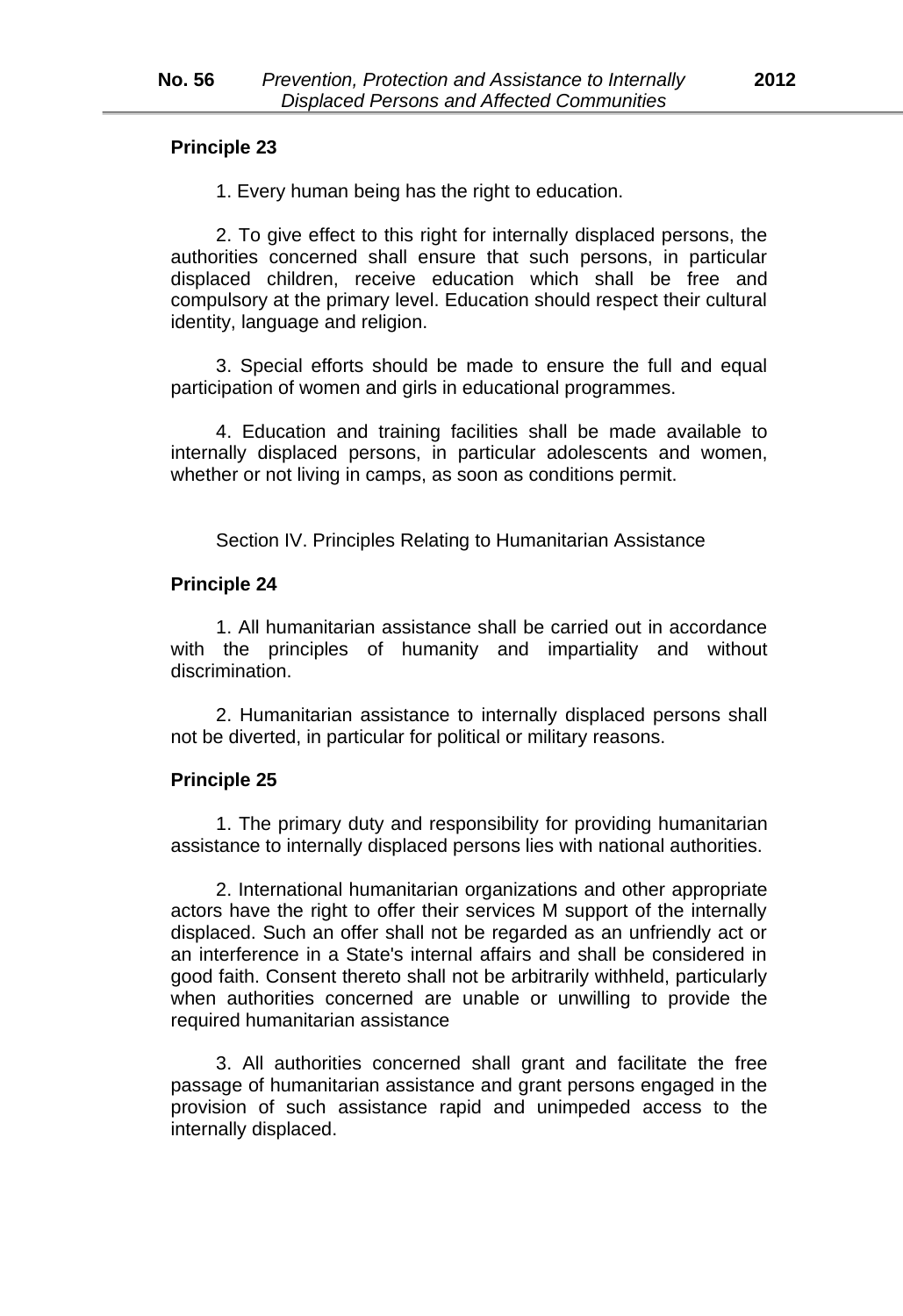1. Every human being has the right to education.

2. To give effect to this right for internally displaced persons, the authorities concerned shall ensure that such persons, in particular displaced children, receive education which shall be free and compulsory at the primary level. Education should respect their cultural identity, language and religion.

3. Special efforts should be made to ensure the full and equal participation of women and girls in educational programmes.

4. Education and training facilities shall be made available to internally displaced persons, in particular adolescents and women, whether or not living in camps, as soon as conditions permit.

Section IV. Principles Relating to Humanitarian Assistance

#### **Principle 24**

1. All humanitarian assistance shall be carried out in accordance with the principles of humanity and impartiality and without discrimination.

2. Humanitarian assistance to internally displaced persons shall not be diverted, in particular for political or military reasons.

#### **Principle 25**

1. The primary duty and responsibility for providing humanitarian assistance to internally displaced persons lies with national authorities.

2. International humanitarian organizations and other appropriate actors have the right to offer their services M support of the internally displaced. Such an offer shall not be regarded as an unfriendly act or an interference in a State's internal affairs and shall be considered in good faith. Consent thereto shall not be arbitrarily withheld, particularly when authorities concerned are unable or unwilling to provide the required humanitarian assistance

3. All authorities concerned shall grant and facilitate the free passage of humanitarian assistance and grant persons engaged in the provision of such assistance rapid and unimpeded access to the internally displaced.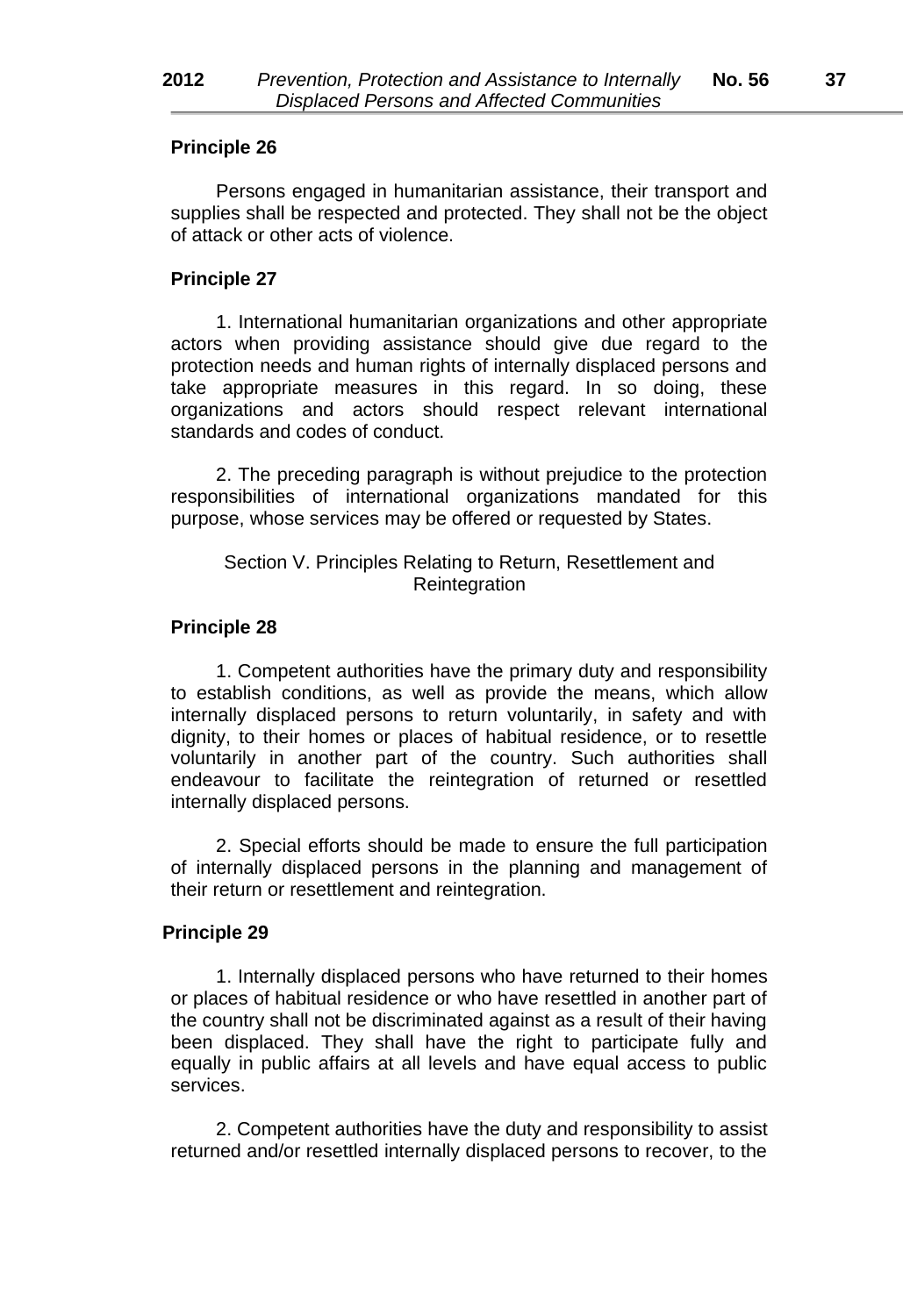Persons engaged in humanitarian assistance, their transport and supplies shall be respected and protected. They shall not be the object of attack or other acts of violence.

#### **Principle 27**

1. International humanitarian organizations and other appropriate actors when providing assistance should give due regard to the protection needs and human rights of internally displaced persons and take appropriate measures in this regard. In so doing, these organizations and actors should respect relevant international standards and codes of conduct.

2. The preceding paragraph is without prejudice to the protection responsibilities of international organizations mandated for this purpose, whose services may be offered or requested by States.

# Section V. Principles Relating to Return, Resettlement and **Reintegration**

#### **Principle 28**

1. Competent authorities have the primary duty and responsibility to establish conditions, as well as provide the means, which allow internally displaced persons to return voluntarily, in safety and with dignity, to their homes or places of habitual residence, or to resettle voluntarily in another part of the country. Such authorities shall endeavour to facilitate the reintegration of returned or resettled internally displaced persons.

2. Special efforts should be made to ensure the full participation of internally displaced persons in the planning and management of their return or resettlement and reintegration.

# **Principle 29**

1. Internally displaced persons who have returned to their homes or places of habitual residence or who have resettled in another part of the country shall not be discriminated against as a result of their having been displaced. They shall have the right to participate fully and equally in public affairs at all levels and have equal access to public services.

2. Competent authorities have the duty and responsibility to assist returned and/or resettled internally displaced persons to recover, to the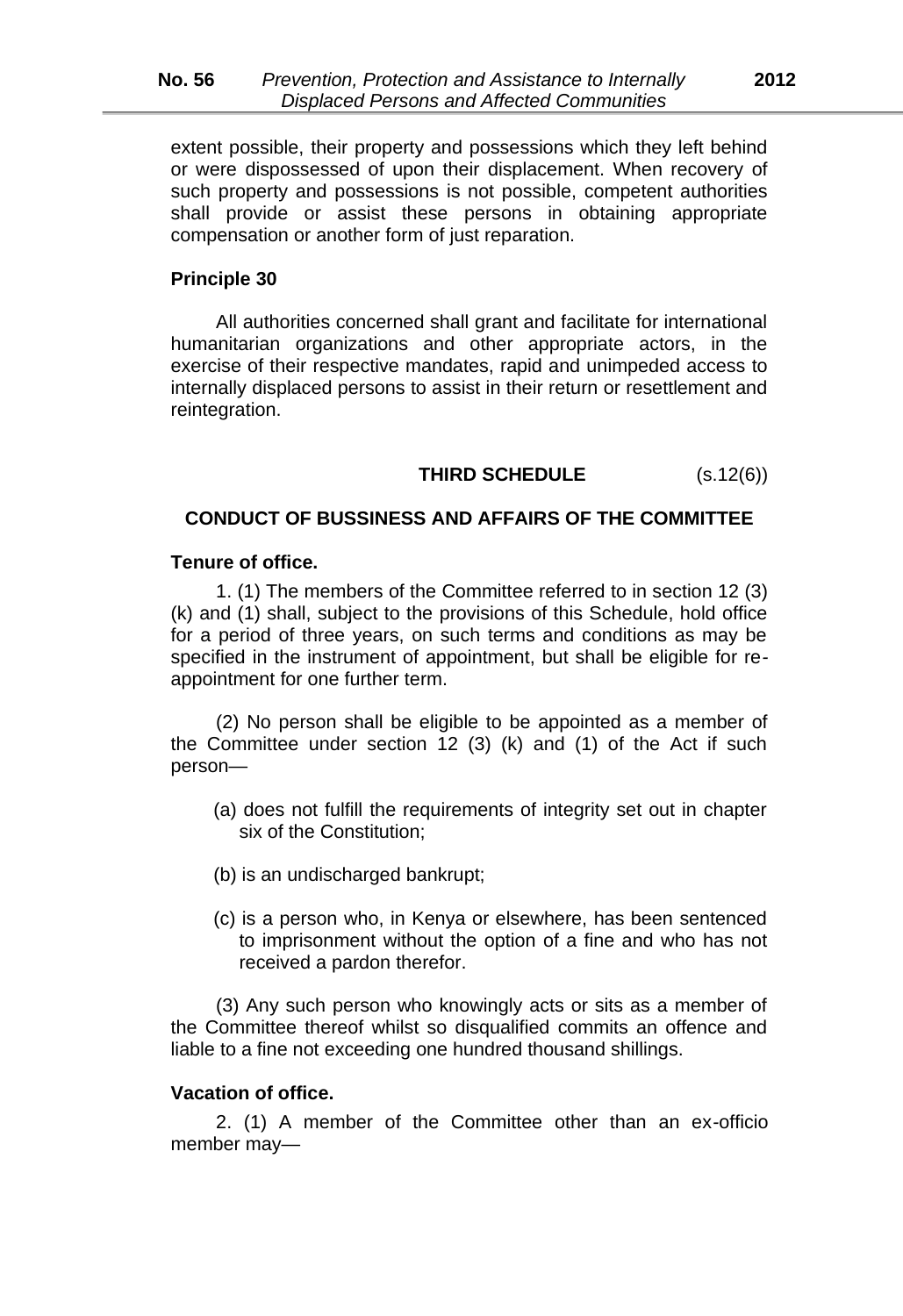extent possible, their property and possessions which they left behind or were dispossessed of upon their displacement. When recovery of such property and possessions is not possible, competent authorities shall provide or assist these persons in obtaining appropriate compensation or another form of just reparation.

# **Principle 30**

All authorities concerned shall grant and facilitate for international humanitarian organizations and other appropriate actors, in the exercise of their respective mandates, rapid and unimpeded access to internally displaced persons to assist in their return or resettlement and reintegration.

# **THIRD SCHEDULE** (s.12(6))

# **CONDUCT OF BUSSINESS AND AFFAIRS OF THE COMMITTEE**

#### **Tenure of office.**

1. (1) The members of the Committee referred to in section 12 (3) (k) and (1) shall, subject to the provisions of this Schedule, hold office for a period of three years, on such terms and conditions as may be specified in the instrument of appointment, but shall be eligible for reappointment for one further term.

(2) No person shall be eligible to be appointed as a member of the Committee under section 12 (3) (k) and (1) of the Act if such person—

- (a) does not fulfill the requirements of integrity set out in chapter six of the Constitution;
- (b) is an undischarged bankrupt;
- (c) is a person who, in Kenya or elsewhere, has been sentenced to imprisonment without the option of a fine and who has not received a pardon therefor.

(3) Any such person who knowingly acts or sits as a member of the Committee thereof whilst so disqualified commits an offence and liable to a fine not exceeding one hundred thousand shillings.

#### **Vacation of office.**

2. (1) A member of the Committee other than an ex*-*officio member may—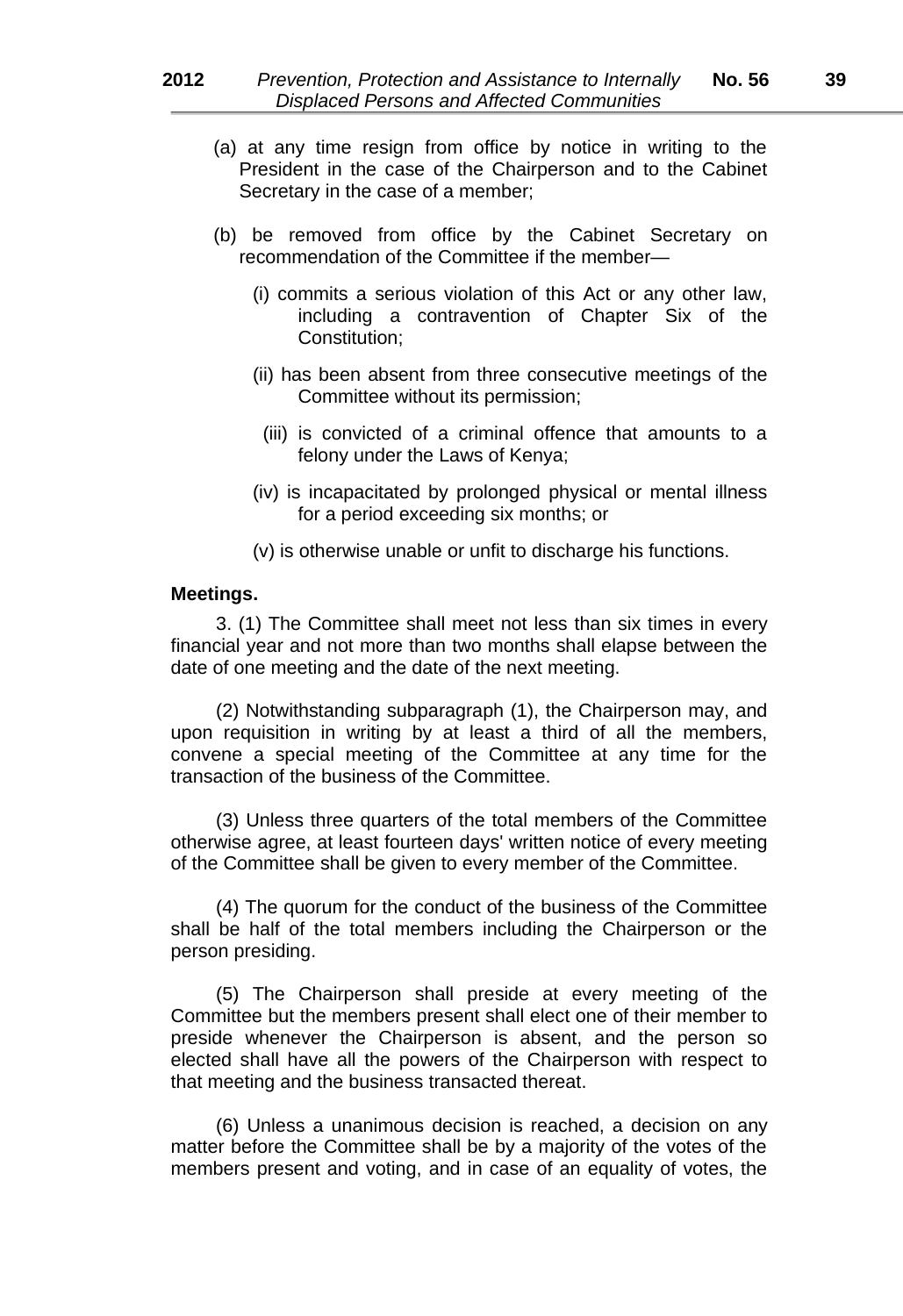- (a) at any time resign from office by notice in writing to the President in the case of the Chairperson and to the Cabinet Secretary in the case of a member;
- (b) be removed from office by the Cabinet Secretary on recommendation of the Committee if the member—
	- (i) commits a serious violation of this Act or any other law, including a contravention of Chapter Six of the Constitution;
	- (ii) has been absent from three consecutive meetings of the Committee without its permission;
		- (iii) is convicted of a criminal offence that amounts to a felony under the Laws of Kenya;
	- (iv) is incapacitated by prolonged physical or mental illness for a period exceeding six months; or
	- (v) is otherwise unable or unfit to discharge his functions.

#### **Meetings.**

3. (1) The Committee shall meet not less than six times in every financial year and not more than two months shall elapse between the date of one meeting and the date of the next meeting.

(2) Notwithstanding subparagraph (1), the Chairperson may, and upon requisition in writing by at least a third of all the members, convene a special meeting of the Committee at any time for the transaction of the business of the Committee.

(3) Unless three quarters of the total members of the Committee otherwise agree, at least fourteen days' written notice of every meeting of the Committee shall be given to every member of the Committee.

(4) The quorum for the conduct of the business of the Committee shall be half of the total members including the Chairperson or the person presiding.

(5) The Chairperson shall preside at every meeting of the Committee but the members present shall elect one of their member to preside whenever the Chairperson is absent, and the person so elected shall have all the powers of the Chairperson with respect to that meeting and the business transacted thereat.

(6) Unless a unanimous decision is reached, a decision on any matter before the Committee shall be by a majority of the votes of the members present and voting, and in case of an equality of votes, the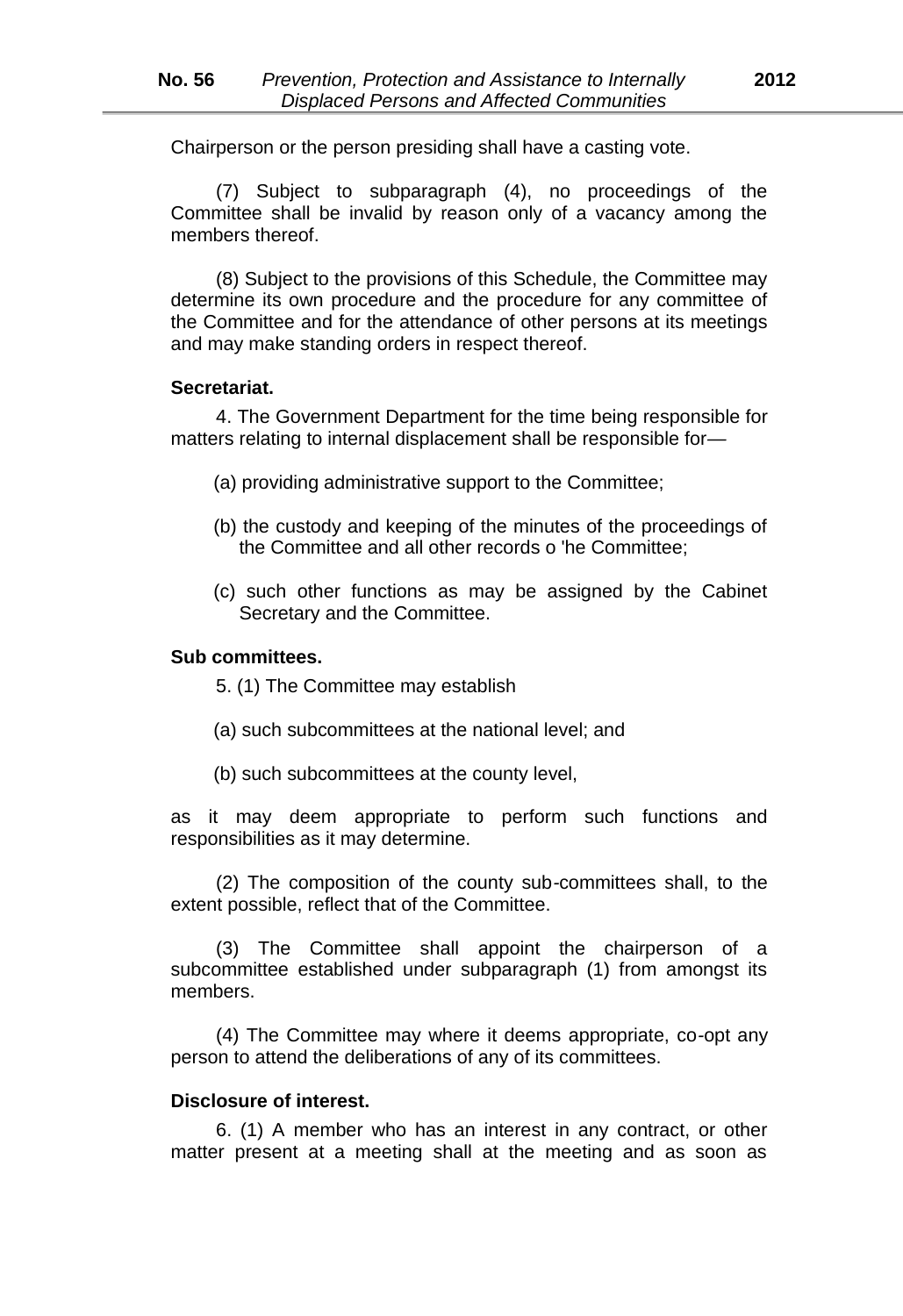Chairperson or the person presiding shall have a casting vote.

(7) Subject to subparagraph (4), no proceedings of the Committee shall be invalid by reason only of a vacancy among the members thereof

(8) Subject to the provisions of this Schedule, the Committee may determine its own procedure and the procedure for any committee of the Committee and for the attendance of other persons at its meetings and may make standing orders in respect thereof.

#### **Secretariat.**

4. The Government Department for the time being responsible for matters relating to internal displacement shall be responsible for*—*

- (a) providing administrative support to the Committee;
- (b) the custody and keeping of the minutes of the proceedings of the Committee and all other records o 'he Committee;
- (c) such other functions as may be assigned by the Cabinet Secretary and the Committee.

# **Sub committees.**

- 5. (1) The Committee may establish
- (a) such subcommittees at the national level; and
- (b) such subcommittees at the county level,

as it may deem appropriate to perform such functions and responsibilities as it may determine.

(2) The composition of the county sub*-*committees shall, to the extent possible, reflect that of the Committee.

(3) The Committee shall appoint the chairperson of a subcommittee established under subparagraph (1) from amongst its members.

(4) The Committee may where it deems appropriate, co*-*opt any person to attend the deliberations of any of its committees.

# **Disclosure of interest.**

6. (1) A member who has an interest in any contract, or other matter present at a meeting shall at the meeting and as soon as